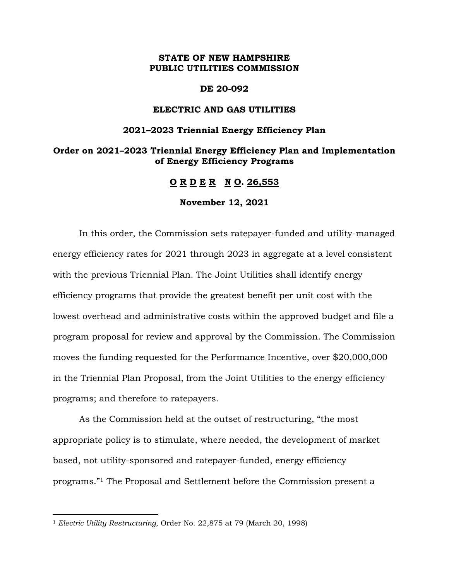#### **STATE OF NEW HAMPSHIRE PUBLIC UTILITIES COMMISSION**

#### **DE 20-092**

#### **ELECTRIC AND GAS UTILITIES**

#### **2021–2023 Triennial Energy Efficiency Plan**

#### **Order on 2021–2023 Triennial Energy Efficiency Plan and Implementation of Energy Efficiency Programs**

**O R D E R N O. 26,553**

**November 12, 2021**

In this order, the Commission sets ratepayer-funded and utility-managed energy efficiency rates for 2021 through 2023 in aggregate at a level consistent with the previous Triennial Plan. The Joint Utilities shall identify energy efficiency programs that provide the greatest benefit per unit cost with the lowest overhead and administrative costs within the approved budget and file a program proposal for review and approval by the Commission. The Commission moves the funding requested for the Performance Incentive, over \$20,000,000 in the Triennial Plan Proposal, from the Joint Utilities to the energy efficiency programs; and therefore to ratepayers.

As the Commission held at the outset of restructuring, "the most appropriate policy is to stimulate, where needed, the development of market based, not utility-sponsored and ratepayer-funded, energy efficiency programs."<sup>1</sup> The Proposal and Settlement before the Commission present a

 $\overline{a}$ 

<sup>1</sup> *Electric Utility Restructuring*, Order No. 22,875 at 79 (March 20, 1998)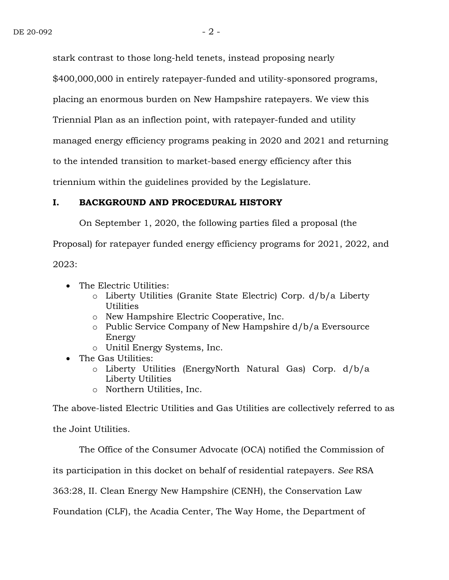stark contrast to those long-held tenets, instead proposing nearly \$400,000,000 in entirely ratepayer-funded and utility-sponsored programs, placing an enormous burden on New Hampshire ratepayers. We view this Triennial Plan as an inflection point, with ratepayer-funded and utility managed energy efficiency programs peaking in 2020 and 2021 and returning to the intended transition to market-based energy efficiency after this triennium within the guidelines provided by the Legislature.

#### **I. BACKGROUND AND PROCEDURAL HISTORY**

On September 1, 2020, the following parties filed a proposal (the

Proposal) for ratepayer funded energy efficiency programs for 2021, 2022, and

2023:

- The Electric Utilities:
	- o Liberty Utilities (Granite State Electric) Corp. d/b/a Liberty **Utilities**
	- o New Hampshire Electric Cooperative, Inc.
	- o Public Service Company of New Hampshire d/b/a Eversource Energy
	- o Unitil Energy Systems, Inc.
- The Gas Utilities:
	- o Liberty Utilities (EnergyNorth Natural Gas) Corp. d/b/a Liberty Utilities
	- o Northern Utilities, Inc.

The above-listed Electric Utilities and Gas Utilities are collectively referred to as

the Joint Utilities.

The Office of the Consumer Advocate (OCA) notified the Commission of

its participation in this docket on behalf of residential ratepayers. *See* RSA

363:28, II. Clean Energy New Hampshire (CENH), the Conservation Law

Foundation (CLF), the Acadia Center, The Way Home, the Department of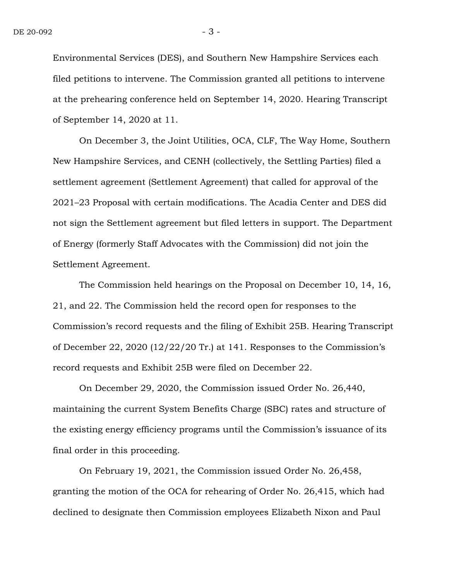Environmental Services (DES), and Southern New Hampshire Services each filed petitions to intervene. The Commission granted all petitions to intervene at the prehearing conference held on September 14, 2020. Hearing Transcript of September 14, 2020 at 11.

On December 3, the Joint Utilities, OCA, CLF, The Way Home, Southern New Hampshire Services, and CENH (collectively, the Settling Parties) filed a settlement agreement (Settlement Agreement) that called for approval of the 2021–23 Proposal with certain modifications. The Acadia Center and DES did not sign the Settlement agreement but filed letters in support. The Department of Energy (formerly Staff Advocates with the Commission) did not join the Settlement Agreement.

The Commission held hearings on the Proposal on December 10, 14, 16, 21, and 22. The Commission held the record open for responses to the Commission's record requests and the filing of Exhibit 25B. Hearing Transcript of December 22, 2020 (12/22/20 Tr.) at 141. Responses to the Commission's record requests and Exhibit 25B were filed on December 22.

On December 29, 2020, the Commission issued Order No. 26,440, maintaining the current System Benefits Charge (SBC) rates and structure of the existing energy efficiency programs until the Commission's issuance of its final order in this proceeding.

On February 19, 2021, the Commission issued Order No. 26,458, granting the motion of the OCA for rehearing of Order No. 26,415, which had declined to designate then Commission employees Elizabeth Nixon and Paul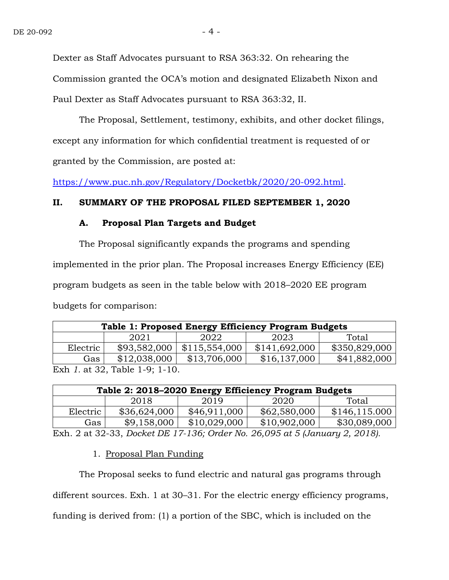Dexter as Staff Advocates pursuant to RSA 363:32. On rehearing the Commission granted the OCA's motion and designated Elizabeth Nixon and Paul Dexter as Staff Advocates pursuant to RSA 363:32, II.

The Proposal, Settlement, testimony, exhibits, and other docket filings, except any information for which confidential treatment is requested of or granted by the Commission, are posted at:

[https://www.puc.nh.gov/Regulatory/Docketbk/2020/20-092.html.](https://www.puc.nh.gov/Regulatory/Docketbk/2020/20-092.html)

#### **II. SUMMARY OF THE PROPOSAL FILED SEPTEMBER 1, 2020**

#### **A. Proposal Plan Targets and Budget**

The Proposal significantly expands the programs and spending implemented in the prior plan. The Proposal increases Energy Efficiency (EE) program budgets as seen in the table below with 2018–2020 EE program budgets for comparison:

| Table 1: Proposed Energy Efficiency Program Budgets |              |               |               |               |  |  |
|-----------------------------------------------------|--------------|---------------|---------------|---------------|--|--|
|                                                     | 2021         | 2022          | 2023          |               |  |  |
| Electric                                            | \$93,582,000 | \$115,554,000 | \$141,692,000 | \$350,829,000 |  |  |
| Gas                                                 | \$12,038,000 | \$13,706,000  | \$16,137,000  | \$41,882,000  |  |  |
| Exh 1. at 32, Table 1-9; 1-10.                      |              |               |               |               |  |  |

| Table 2: 2018-2020 Energy Efficiency Program Budgets |              |              |              |                |  |  |
|------------------------------------------------------|--------------|--------------|--------------|----------------|--|--|
|                                                      | 2018         | 2019         | 2020         | Total          |  |  |
| Electric                                             | \$36,624,000 | \$46,911,000 | \$62,580,000 | \$146, 115.000 |  |  |
| Gas                                                  | \$9,158,000  | \$10,029,000 | \$10,902,000 | \$30,089,000   |  |  |

Exh. 2 at 32-33, *Docket DE 17-136; Order No. 26,095 at 5 (January 2, 2018).*

#### 1. Proposal Plan Funding

The Proposal seeks to fund electric and natural gas programs through different sources*.* Exh. 1 at 30–31. For the electric energy efficiency programs, funding is derived from: (1) a portion of the SBC, which is included on the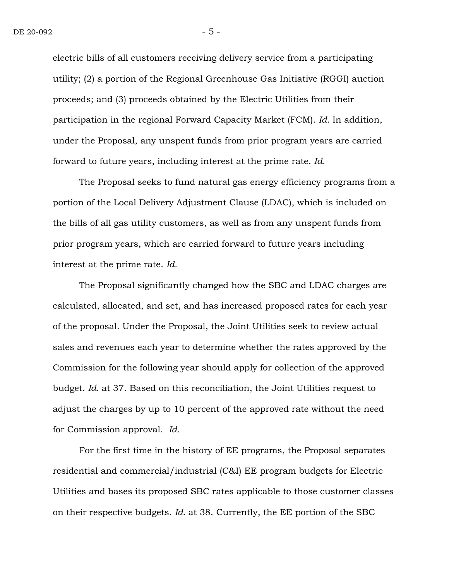electric bills of all customers receiving delivery service from a participating utility; (2) a portion of the Regional Greenhouse Gas Initiative (RGGI) auction proceeds; and (3) proceeds obtained by the Electric Utilities from their participation in the regional Forward Capacity Market (FCM). *Id.* In addition, under the Proposal, any unspent funds from prior program years are carried forward to future years, including interest at the prime rate. *Id.*

The Proposal seeks to fund natural gas energy efficiency programs from a portion of the Local Delivery Adjustment Clause (LDAC), which is included on the bills of all gas utility customers, as well as from any unspent funds from prior program years, which are carried forward to future years including interest at the prime rate. *Id.*

The Proposal significantly changed how the SBC and LDAC charges are calculated, allocated, and set, and has increased proposed rates for each year of the proposal. Under the Proposal, the Joint Utilities seek to review actual sales and revenues each year to determine whether the rates approved by the Commission for the following year should apply for collection of the approved budget. *Id.* at 37. Based on this reconciliation, the Joint Utilities request to adjust the charges by up to 10 percent of the approved rate without the need for Commission approval. *Id.* 

For the first time in the history of EE programs, the Proposal separates residential and commercial/industrial (C&I) EE program budgets for Electric Utilities and bases its proposed SBC rates applicable to those customer classes on their respective budgets. *Id.* at 38. Currently, the EE portion of the SBC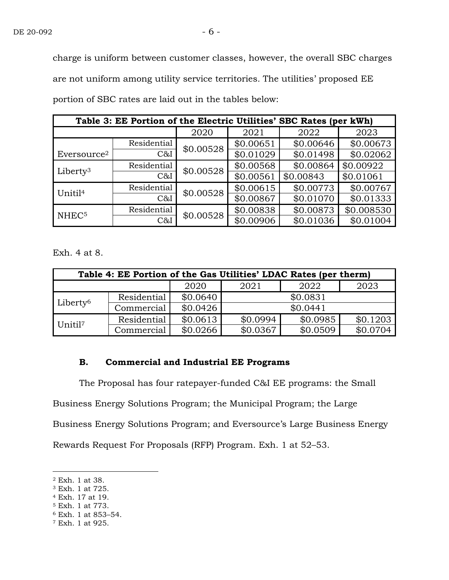charge is uniform between customer classes, however, the overall SBC charges are not uniform among utility service territories*.* The utilities' proposed EE portion of SBC rates are laid out in the tables below:

| Table 3: EE Portion of the Electric Utilities' SBC Rates (per kWh) |             |           |           |           |            |  |
|--------------------------------------------------------------------|-------------|-----------|-----------|-----------|------------|--|
|                                                                    |             | 2020      | 2021      | 2022      | 2023       |  |
|                                                                    | Residential | \$0.00528 | \$0.00651 | \$0.00646 | \$0.00673  |  |
| Eversource <sup>2</sup>                                            | C&I         |           | \$0.01029 | \$0.01498 | \$0.02062  |  |
| Liberty <sup>3</sup>                                               | Residential | \$0.00528 | \$0.00568 | \$0.00864 | \$0.00922  |  |
|                                                                    | C&I         |           | \$0.00561 | \$0.00843 | \$0.01061  |  |
| Unitil <sup>4</sup>                                                | Residential | \$0.00528 | \$0.00615 | \$0.00773 | \$0.00767  |  |
|                                                                    | C&I         |           | \$0.00867 | \$0.01070 | \$0.01333  |  |
| NHEC <sup>5</sup>                                                  | Residential | \$0.00528 | \$0.00838 | \$0.00873 | \$0.008530 |  |
|                                                                    | C&I         |           | \$0.00906 | \$0.01036 | \$0.01004  |  |

Exh. 4 at 8.

| Table 4: EE Portion of the Gas Utilities' LDAC Rates (per therm) |             |          |              |          |          |  |  |
|------------------------------------------------------------------|-------------|----------|--------------|----------|----------|--|--|
|                                                                  |             | 2020     | 2022<br>2021 |          | 2023     |  |  |
| Liberty <sup>6</sup>                                             | Residential | \$0.0640 | \$0.0831     |          |          |  |  |
|                                                                  | Commercial  | \$0.0426 | \$0.0441     |          |          |  |  |
| Unitil <sup>7</sup>                                              | Residential | \$0.0613 | \$0.0994     | \$0.0985 | \$0.1203 |  |  |
|                                                                  | Commercial  | \$0.0266 | \$0.0367     | \$0.0509 | \$0.0704 |  |  |

#### **B. Commercial and Industrial EE Programs**

The Proposal has four ratepayer-funded C&I EE programs: the Small Business Energy Solutions Program; the Municipal Program; the Large Business Energy Solutions Program; and Eversource's Large Business Energy Rewards Request For Proposals (RFP) Program. Exh. 1 at 52–53.

 $\overline{a}$ 

<sup>2</sup> Exh. 1 at 38.

<sup>3</sup> Exh. 1 at 725.

<sup>4</sup> Exh. 17 at 19.

<sup>5</sup> Exh. 1 at 773.

<sup>6</sup> Exh. 1 at 853–54.

<sup>7</sup> Exh. 1 at 925.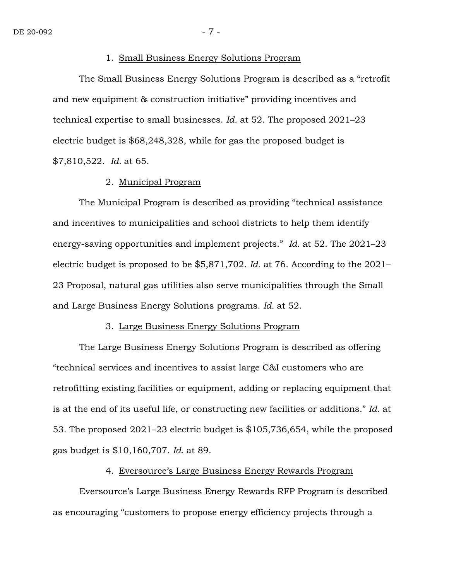#### 1. Small Business Energy Solutions Program

The Small Business Energy Solutions Program is described as a "retrofit and new equipment & construction initiative" providing incentives and technical expertise to small businesses. *Id.* at 52. The proposed 2021–23 electric budget is \$68,248,328, while for gas the proposed budget is \$7,810,522. *Id.* at 65.

#### 2. Municipal Program

The Municipal Program is described as providing "technical assistance and incentives to municipalities and school districts to help them identify energy-saving opportunities and implement projects." *Id.* at 52. The 2021–23 electric budget is proposed to be \$5,871,702. *Id.* at 76. According to the 2021– 23 Proposal, natural gas utilities also serve municipalities through the Small and Large Business Energy Solutions programs. *Id.* at 52.

#### 3. Large Business Energy Solutions Program

The Large Business Energy Solutions Program is described as offering "technical services and incentives to assist large C&I customers who are retrofitting existing facilities or equipment, adding or replacing equipment that is at the end of its useful life, or constructing new facilities or additions." *Id.* at 53. The proposed 2021–23 electric budget is \$105,736,654, while the proposed gas budget is \$10,160,707. *Id.* at 89.

#### 4. Eversource's Large Business Energy Rewards Program

Eversource's Large Business Energy Rewards RFP Program is described as encouraging "customers to propose energy efficiency projects through a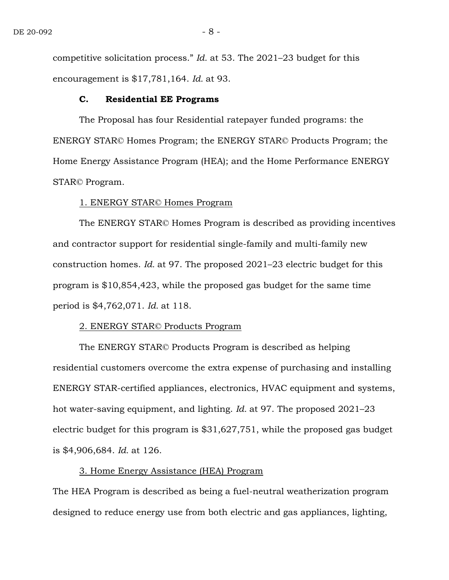competitive solicitation process." *Id.* at 53. The 2021–23 budget for this encouragement is \$17,781,164. *Id.* at 93.

#### **C. Residential EE Programs**

The Proposal has four Residential ratepayer funded programs: the ENERGY STAR© Homes Program; the ENERGY STAR© Products Program; the Home Energy Assistance Program (HEA); and the Home Performance ENERGY STAR© Program.

#### 1. ENERGY STAR© Homes Program

The ENERGY STAR© Homes Program is described as providing incentives and contractor support for residential single-family and multi-family new construction homes. *Id.* at 97. The proposed 2021–23 electric budget for this program is \$10,854,423, while the proposed gas budget for the same time period is \$4,762,071. *Id.* at 118.

#### 2. ENERGY STAR© Products Program

The ENERGY STAR© Products Program is described as helping residential customers overcome the extra expense of purchasing and installing ENERGY STAR-certified appliances, electronics, HVAC equipment and systems, hot water-saving equipment, and lighting. *Id.* at 97. The proposed 2021–23 electric budget for this program is \$31,627,751, while the proposed gas budget is \$4,906,684. *Id.* at 126.

#### 3. Home Energy Assistance (HEA) Program

The HEA Program is described as being a fuel-neutral weatherization program designed to reduce energy use from both electric and gas appliances, lighting,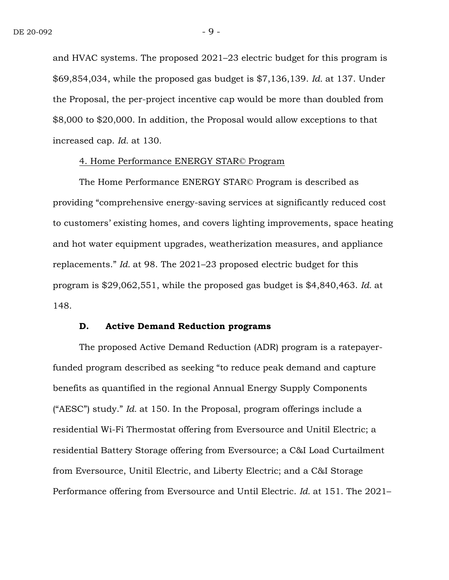and HVAC systems. The proposed 2021–23 electric budget for this program is \$69,854,034, while the proposed gas budget is \$7,136,139. *Id.* at 137. Under the Proposal, the per-project incentive cap would be more than doubled from \$8,000 to \$20,000. In addition, the Proposal would allow exceptions to that increased cap. *Id.* at 130.

#### 4. Home Performance ENERGY STAR© Program

The Home Performance ENERGY STAR© Program is described as providing "comprehensive energy-saving services at significantly reduced cost to customers' existing homes, and covers lighting improvements, space heating and hot water equipment upgrades, weatherization measures, and appliance replacements." *Id.* at 98. The 2021–23 proposed electric budget for this program is \$29,062,551, while the proposed gas budget is \$4,840,463. *Id.* at 148.

#### **D. Active Demand Reduction programs**

The proposed Active Demand Reduction (ADR) program is a ratepayerfunded program described as seeking "to reduce peak demand and capture benefits as quantified in the regional Annual Energy Supply Components ("AESC") study." *Id.* at 150. In the Proposal, program offerings include a residential Wi-Fi Thermostat offering from Eversource and Unitil Electric; a residential Battery Storage offering from Eversource; a C&I Load Curtailment from Eversource, Unitil Electric, and Liberty Electric; and a C&I Storage Performance offering from Eversource and Until Electric. *Id.* at 151. The 2021–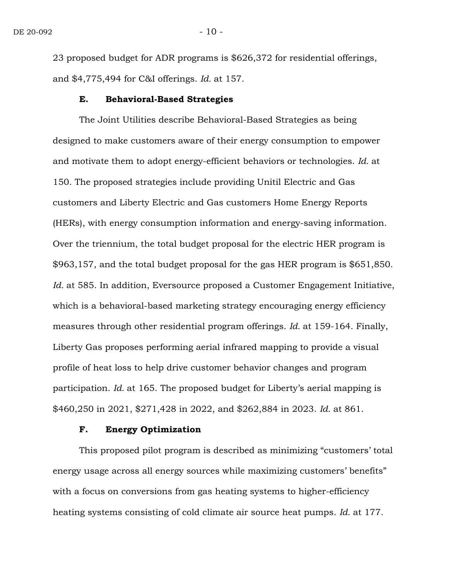23 proposed budget for ADR programs is \$626,372 for residential offerings, and \$4,775,494 for C&I offerings. *Id.* at 157.

#### **E. Behavioral-Based Strategies**

The Joint Utilities describe Behavioral-Based Strategies as being designed to make customers aware of their energy consumption to empower and motivate them to adopt energy-efficient behaviors or technologies. *Id.* at 150. The proposed strategies include providing Unitil Electric and Gas customers and Liberty Electric and Gas customers Home Energy Reports (HERs), with energy consumption information and energy-saving information. Over the triennium, the total budget proposal for the electric HER program is \$963,157, and the total budget proposal for the gas HER program is \$651,850. Id. at 585. In addition, Eversource proposed a Customer Engagement Initiative, which is a behavioral-based marketing strategy encouraging energy efficiency measures through other residential program offerings. *Id.* at 159-164. Finally, Liberty Gas proposes performing aerial infrared mapping to provide a visual profile of heat loss to help drive customer behavior changes and program participation. *Id.* at 165. The proposed budget for Liberty's aerial mapping is \$460,250 in 2021, \$271,428 in 2022, and \$262,884 in 2023. *Id.* at 861.

#### **F. Energy Optimization**

This proposed pilot program is described as minimizing "customers' total energy usage across all energy sources while maximizing customers' benefits" with a focus on conversions from gas heating systems to higher-efficiency heating systems consisting of cold climate air source heat pumps. *Id.* at 177.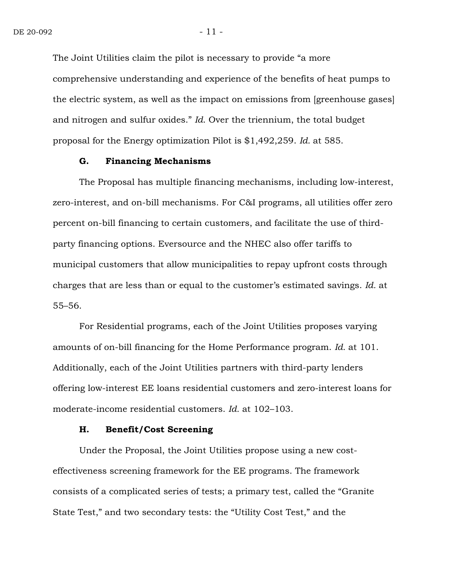The Joint Utilities claim the pilot is necessary to provide "a more comprehensive understanding and experience of the benefits of heat pumps to the electric system, as well as the impact on emissions from [greenhouse gases] and nitrogen and sulfur oxides." *Id*. Over the triennium, the total budget proposal for the Energy optimization Pilot is \$1,492,259. *Id.* at 585.

#### **G. Financing Mechanisms**

The Proposal has multiple financing mechanisms, including low-interest, zero-interest, and on-bill mechanisms. For C&I programs, all utilities offer zero percent on-bill financing to certain customers, and facilitate the use of thirdparty financing options. Eversource and the NHEC also offer tariffs to municipal customers that allow municipalities to repay upfront costs through charges that are less than or equal to the customer's estimated savings. *Id.* at 55–56.

For Residential programs, each of the Joint Utilities proposes varying amounts of on-bill financing for the Home Performance program. *Id.* at 101. Additionally, each of the Joint Utilities partners with third-party lenders offering low-interest EE loans residential customers and zero-interest loans for moderate-income residential customers. *Id.* at 102–103.

#### **H. Benefit/Cost Screening**

Under the Proposal, the Joint Utilities propose using a new costeffectiveness screening framework for the EE programs. The framework consists of a complicated series of tests; a primary test, called the "Granite State Test," and two secondary tests: the "Utility Cost Test," and the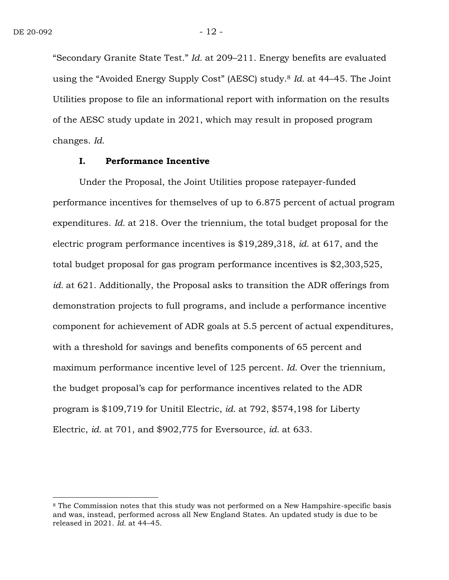$\overline{a}$ 

"Secondary Granite State Test." *Id.* at 209–211. Energy benefits are evaluated using the "Avoided Energy Supply Cost" (AESC) study. <sup>8</sup> *Id.* at 44–45. The Joint Utilities propose to file an informational report with information on the results of the AESC study update in 2021, which may result in proposed program changes. *Id.*

#### **I. Performance Incentive**

Under the Proposal, the Joint Utilities propose ratepayer-funded performance incentives for themselves of up to 6.875 percent of actual program expenditures. *Id.* at 218. Over the triennium, the total budget proposal for the electric program performance incentives is \$19,289,318, *id.* at 617, and the total budget proposal for gas program performance incentives is \$2,303,525, *id.* at 621. Additionally, the Proposal asks to transition the ADR offerings from demonstration projects to full programs, and include a performance incentive component for achievement of ADR goals at 5.5 percent of actual expenditures, with a threshold for savings and benefits components of 65 percent and maximum performance incentive level of 125 percent. *Id.* Over the triennium, the budget proposal's cap for performance incentives related to the ADR program is \$109,719 for Unitil Electric, *id.* at 792, \$574,198 for Liberty Electric, *id.* at 701, and \$902,775 for Eversource, *id.* at 633.

<sup>8</sup> The Commission notes that this study was not performed on a New Hampshire-specific basis and was, instead, performed across all New England States. An updated study is due to be released in 2021. *Id.* at 44–45.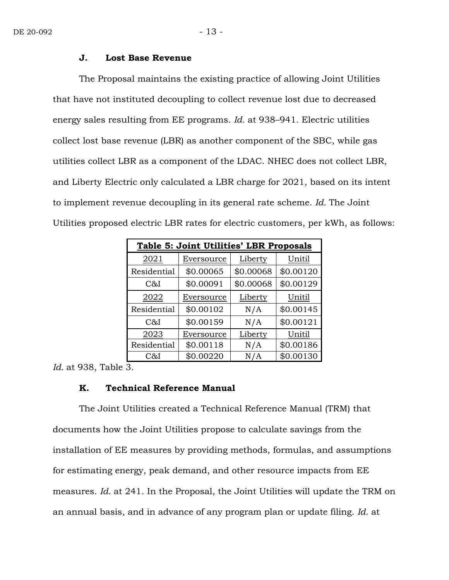#### **J. Lost Base Revenue**

The Proposal maintains the existing practice of allowing Joint Utilities that have not instituted decoupling to collect revenue lost due to decreased energy sales resulting from EE programs. *Id.* at 938–941. Electric utilities collect lost base revenue (LBR) as another component of the SBC, while gas utilities collect LBR as a component of the LDAC. NHEC does not collect LBR, and Liberty Electric only calculated a LBR charge for 2021, based on its intent to implement revenue decoupling in its general rate scheme. *Id.* The Joint Utilities proposed electric LBR rates for electric customers, per kWh, as follows:

| Table 5: Joint Utilities' LBR Proposals |            |           |           |  |  |  |  |
|-----------------------------------------|------------|-----------|-----------|--|--|--|--|
| 2021                                    | Eversource | Liberty   | Unitil    |  |  |  |  |
| Residential                             | \$0.00065  | \$0.00068 | \$0.00120 |  |  |  |  |
| C&I                                     | \$0.00091  | \$0.00068 | \$0.00129 |  |  |  |  |
| 2022                                    | Eversource | Liberty   | Unitil    |  |  |  |  |
| Residential                             | \$0.00102  | N/A       | \$0.00145 |  |  |  |  |
| C&I                                     | \$0.00159  | N/A       | \$0.00121 |  |  |  |  |
| 2023                                    | Eversource | Liberty   | Unitil    |  |  |  |  |
| Residential                             | \$0.00118  | N/A       | \$0.00186 |  |  |  |  |
| C&I                                     | \$0.00220  | N/A       | \$0.00130 |  |  |  |  |

*Id.* at 938, Table 3.

#### **K. Technical Reference Manual**

The Joint Utilities created a Technical Reference Manual (TRM) that documents how the Joint Utilities propose to calculate savings from the installation of EE measures by providing methods, formulas, and assumptions for estimating energy, peak demand, and other resource impacts from EE measures. *Id.* at 241. In the Proposal, the Joint Utilities will update the TRM on an annual basis, and in advance of any program plan or update filing. *Id.* at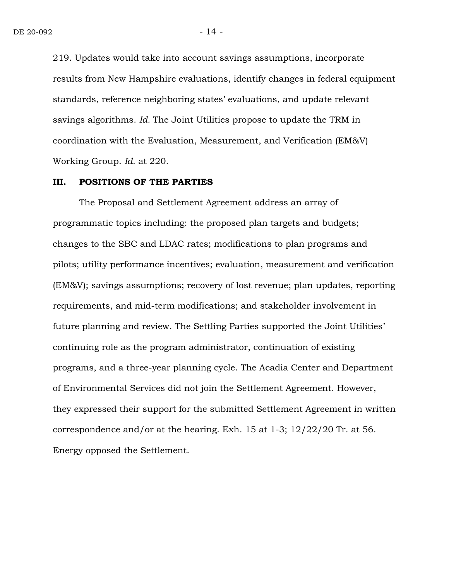219. Updates would take into account savings assumptions, incorporate results from New Hampshire evaluations, identify changes in federal equipment standards, reference neighboring states' evaluations, and update relevant savings algorithms. *Id.* The Joint Utilities propose to update the TRM in coordination with the Evaluation, Measurement, and Verification (EM&V) Working Group. *Id.* at 220.

#### **III. POSITIONS OF THE PARTIES**

The Proposal and Settlement Agreement address an array of programmatic topics including: the proposed plan targets and budgets; changes to the SBC and LDAC rates; modifications to plan programs and pilots; utility performance incentives; evaluation, measurement and verification (EM&V); savings assumptions; recovery of lost revenue; plan updates, reporting requirements, and mid-term modifications; and stakeholder involvement in future planning and review. The Settling Parties supported the Joint Utilities' continuing role as the program administrator, continuation of existing programs, and a three-year planning cycle. The Acadia Center and Department of Environmental Services did not join the Settlement Agreement. However, they expressed their support for the submitted Settlement Agreement in written correspondence and/or at the hearing. Exh. 15 at 1-3; 12/22/20 Tr. at 56. Energy opposed the Settlement.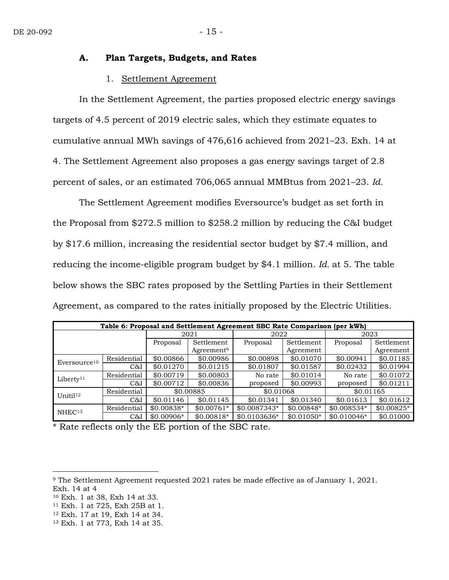#### **A. Plan Targets, Budgets, and Rates**

#### 1. Settlement Agreement

In the Settlement Agreement, the parties proposed electric energy savings targets of 4.5 percent of 2019 electric sales, which they estimate equates to cumulative annual MWh savings of 476,616 achieved from 2021–23. Exh. 14 at 4. The Settlement Agreement also proposes a gas energy savings target of 2.8 percent of sales, or an estimated 706,065 annual MMBtus from 2021–23. *Id.*

The Settlement Agreement modifies Eversource's budget as set forth in the Proposal from \$272.5 million to \$258.2 million by reducing the C&I budget by \$17.6 million, increasing the residential sector budget by \$7.4 million, and reducing the income-eligible program budget by \$4.1 million. *Id.* at 5. The table below shows the SBC rates proposed by the Settling Parties in their Settlement Agreement, as compared to the rates initially proposed by the Electric Utilities.

| Table 6: Proposal and Settlement Agreement SBC Rate Comparison (per kWh) |             |             |                        |               |             |              |             |
|--------------------------------------------------------------------------|-------------|-------------|------------------------|---------------|-------------|--------------|-------------|
|                                                                          |             | 2021        |                        | 2022          |             | 2023         |             |
|                                                                          |             | Proposal    | Settlement             | Proposal      | Settlement  | Proposal     | Settlement  |
|                                                                          |             |             | Agreement <sup>9</sup> |               | Agreement   |              | Agreement   |
| Eversource <sup>10</sup>                                                 | Residential | \$0.00866   | \$0.00986              | \$0.00898     | \$0.01070   | \$0.00941    | \$0.01185   |
|                                                                          | C&I         | \$0.01270   | \$0.01215              | \$0.01807     | \$0.01587   | \$0.02432    | \$0.01994   |
| Liberty <sup>11</sup>                                                    | Residential | \$0.00719   | \$0.00803              | No rate       | \$0.01014   | No rate      | \$0.01072   |
|                                                                          | C&I         | \$0.00712   | \$0.00836              | proposed      | \$0.00993   | proposed     | \$0.01211   |
| Unitil <sup>12</sup>                                                     | Residential | \$0.00885   |                        | \$0.01068     |             | \$0.01165    |             |
|                                                                          | C&I         | \$0.01146   | \$0.01145              | \$0.01341     | \$0.01340   | \$0.01613    | \$0.01612   |
| NHEC <sup>13</sup>                                                       | Residential | $$0.00838*$ | $$0.00761*$            | $$0.0087343*$ | $$0.00848*$ | $$0.008534*$ | $$0.00825*$ |
|                                                                          | C&I         | $$0.00906*$ | $$0.00818*$            | $$0.0103636*$ | $$0.01050*$ | $$0.010046*$ | \$0.01000   |

\* Rate reflects only the EE portion of the SBC rate.

 $\overline{a}$ 

<sup>9</sup> The Settlement Agreement requested 2021 rates be made effective as of January 1, 2021. Exh. 14 at 4

<sup>10</sup> Exh. 1 at 38, Exh 14 at 33.

<sup>11</sup> Exh. 1 at 725, Exh 25B at 1.

<sup>12</sup> Exh. 17 at 19, Exh 14 at 34.

<sup>13</sup> Exh. 1 at 773, Exh 14 at 35.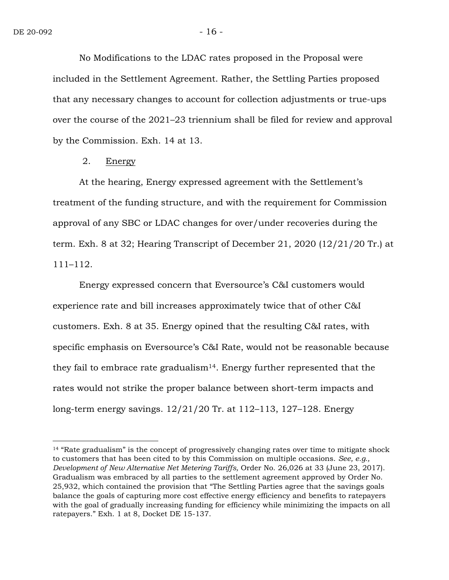$\overline{a}$ 

No Modifications to the LDAC rates proposed in the Proposal were included in the Settlement Agreement. Rather, the Settling Parties proposed that any necessary changes to account for collection adjustments or true-ups over the course of the 2021–23 triennium shall be filed for review and approval by the Commission. Exh. 14 at 13.

2. Energy

At the hearing, Energy expressed agreement with the Settlement's treatment of the funding structure, and with the requirement for Commission approval of any SBC or LDAC changes for over/under recoveries during the term. Exh. 8 at 32; Hearing Transcript of December 21, 2020 (12/21/20 Tr.) at 111–112.

Energy expressed concern that Eversource's C&I customers would experience rate and bill increases approximately twice that of other C&I customers. Exh. 8 at 35. Energy opined that the resulting C&I rates, with specific emphasis on Eversource's C&I Rate, would not be reasonable because they fail to embrace rate gradualism<sup>14</sup>. Energy further represented that the rates would not strike the proper balance between short-term impacts and long-term energy savings. 12/21/20 Tr. at 112–113, 127–128. Energy

<sup>&</sup>lt;sup>14</sup> "Rate gradualism" is the concept of progressively changing rates over time to mitigate shock to customers that has been cited to by this Commission on multiple occasions. *See, e.g., Development of New Alternative Net Metering Tariffs,* Order No. 26,026 at 33 (June 23, 2017). Gradualism was embraced by all parties to the settlement agreement approved by Order No. 25,932, which contained the provision that "The Settling Parties agree that the savings goals balance the goals of capturing more cost effective energy efficiency and benefits to ratepayers with the goal of gradually increasing funding for efficiency while minimizing the impacts on all ratepayers." Exh. 1 at 8, Docket DE 15-137.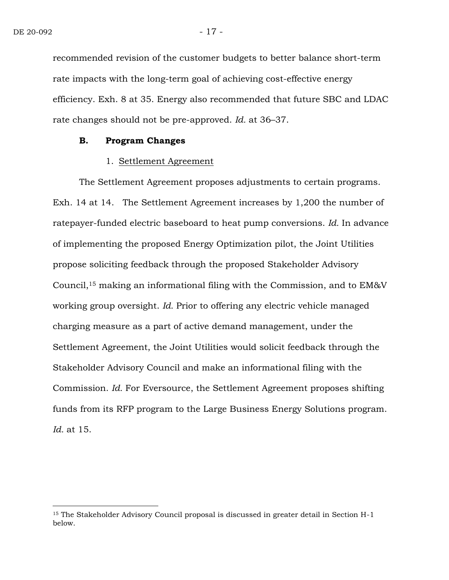$\overline{a}$ 

recommended revision of the customer budgets to better balance short-term rate impacts with the long-term goal of achieving cost-effective energy efficiency. Exh. 8 at 35. Energy also recommended that future SBC and LDAC rate changes should not be pre-approved. *Id.* at 36–37.

#### **B. Program Changes**

#### 1. Settlement Agreement

The Settlement Agreement proposes adjustments to certain programs. Exh. 14 at 14. The Settlement Agreement increases by 1,200 the number of ratepayer-funded electric baseboard to heat pump conversions. *Id.* In advance of implementing the proposed Energy Optimization pilot, the Joint Utilities propose soliciting feedback through the proposed Stakeholder Advisory Council,<sup>15</sup> making an informational filing with the Commission, and to EM&V working group oversight. *Id.* Prior to offering any electric vehicle managed charging measure as a part of active demand management, under the Settlement Agreement, the Joint Utilities would solicit feedback through the Stakeholder Advisory Council and make an informational filing with the Commission. *Id.* For Eversource, the Settlement Agreement proposes shifting funds from its RFP program to the Large Business Energy Solutions program. *Id.* at 15.

<sup>15</sup> The Stakeholder Advisory Council proposal is discussed in greater detail in Section H-1 below.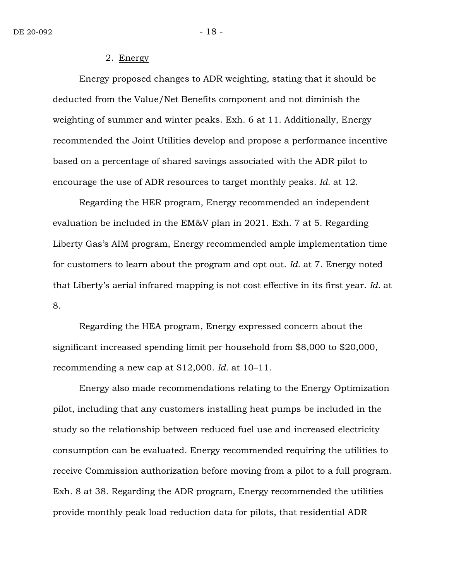#### 2. Energy

Energy proposed changes to ADR weighting, stating that it should be deducted from the Value/Net Benefits component and not diminish the weighting of summer and winter peaks. Exh. 6 at 11. Additionally, Energy recommended the Joint Utilities develop and propose a performance incentive based on a percentage of shared savings associated with the ADR pilot to encourage the use of ADR resources to target monthly peaks. *Id.* at 12.

Regarding the HER program, Energy recommended an independent evaluation be included in the EM&V plan in 2021. Exh. 7 at 5. Regarding Liberty Gas's AIM program, Energy recommended ample implementation time for customers to learn about the program and opt out. *Id.* at 7. Energy noted that Liberty's aerial infrared mapping is not cost effective in its first year. *Id.* at 8.

Regarding the HEA program, Energy expressed concern about the significant increased spending limit per household from \$8,000 to \$20,000, recommending a new cap at \$12,000. *Id.* at 10–11.

Energy also made recommendations relating to the Energy Optimization pilot, including that any customers installing heat pumps be included in the study so the relationship between reduced fuel use and increased electricity consumption can be evaluated. Energy recommended requiring the utilities to receive Commission authorization before moving from a pilot to a full program. Exh. 8 at 38. Regarding the ADR program, Energy recommended the utilities provide monthly peak load reduction data for pilots, that residential ADR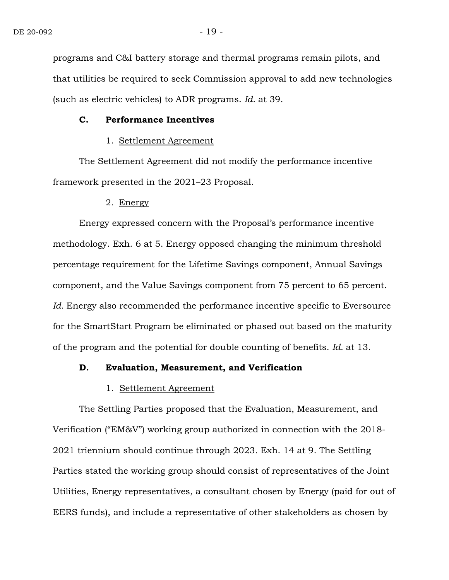programs and C&I battery storage and thermal programs remain pilots, and that utilities be required to seek Commission approval to add new technologies (such as electric vehicles) to ADR programs. *Id.* at 39.

#### **C. Performance Incentives**

### 1. Settlement Agreement

The Settlement Agreement did not modify the performance incentive framework presented in the 2021–23 Proposal.

#### 2. Energy

Energy expressed concern with the Proposal's performance incentive methodology. Exh. 6 at 5. Energy opposed changing the minimum threshold percentage requirement for the Lifetime Savings component, Annual Savings component, and the Value Savings component from 75 percent to 65 percent. Id. Energy also recommended the performance incentive specific to Eversource for the SmartStart Program be eliminated or phased out based on the maturity of the program and the potential for double counting of benefits. *Id.* at 13.

#### **D. Evaluation, Measurement, and Verification**

#### 1. Settlement Agreement

The Settling Parties proposed that the Evaluation, Measurement, and Verification ("EM&V") working group authorized in connection with the 2018- 2021 triennium should continue through 2023. Exh. 14 at 9. The Settling Parties stated the working group should consist of representatives of the Joint Utilities, Energy representatives, a consultant chosen by Energy (paid for out of EERS funds), and include a representative of other stakeholders as chosen by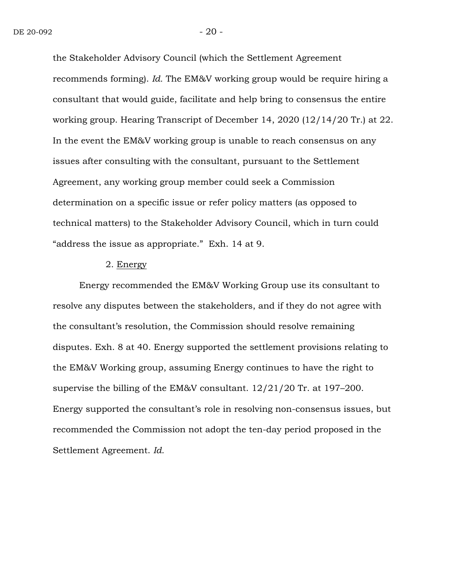the Stakeholder Advisory Council (which the Settlement Agreement recommends forming). *Id.* The EM&V working group would be require hiring a consultant that would guide, facilitate and help bring to consensus the entire working group. Hearing Transcript of December 14, 2020 (12/14/20 Tr.) at 22. In the event the EM&V working group is unable to reach consensus on any issues after consulting with the consultant, pursuant to the Settlement Agreement, any working group member could seek a Commission determination on a specific issue or refer policy matters (as opposed to technical matters) to the Stakeholder Advisory Council, which in turn could "address the issue as appropriate." Exh. 14 at 9.

#### 2. Energy

Energy recommended the EM&V Working Group use its consultant to resolve any disputes between the stakeholders, and if they do not agree with the consultant's resolution, the Commission should resolve remaining disputes. Exh. 8 at 40. Energy supported the settlement provisions relating to the EM&V Working group, assuming Energy continues to have the right to supervise the billing of the EM&V consultant. 12/21/20 Tr. at 197–200. Energy supported the consultant's role in resolving non-consensus issues, but recommended the Commission not adopt the ten-day period proposed in the Settlement Agreement. *Id.*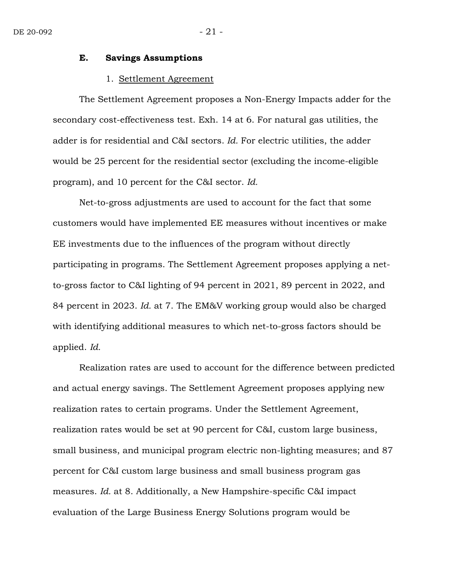# **E. Savings Assumptions**

#### 1. Settlement Agreement

The Settlement Agreement proposes a Non-Energy Impacts adder for the secondary cost-effectiveness test. Exh. 14 at 6. For natural gas utilities, the adder is for residential and C&I sectors. *Id.* For electric utilities, the adder would be 25 percent for the residential sector (excluding the income-eligible program), and 10 percent for the C&I sector. *Id.*

Net-to-gross adjustments are used to account for the fact that some customers would have implemented EE measures without incentives or make EE investments due to the influences of the program without directly participating in programs. The Settlement Agreement proposes applying a netto-gross factor to C&I lighting of 94 percent in 2021, 89 percent in 2022, and 84 percent in 2023. *Id.* at 7. The EM&V working group would also be charged with identifying additional measures to which net-to-gross factors should be applied. *Id.*

Realization rates are used to account for the difference between predicted and actual energy savings. The Settlement Agreement proposes applying new realization rates to certain programs. Under the Settlement Agreement, realization rates would be set at 90 percent for C&I, custom large business, small business, and municipal program electric non-lighting measures; and 87 percent for C&I custom large business and small business program gas measures. *Id.* at 8. Additionally, a New Hampshire-specific C&I impact evaluation of the Large Business Energy Solutions program would be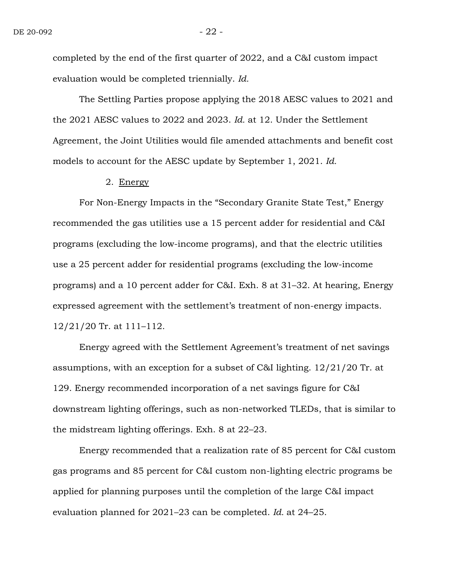completed by the end of the first quarter of 2022, and a C&I custom impact evaluation would be completed triennially. *Id.*

The Settling Parties propose applying the 2018 AESC values to 2021 and the 2021 AESC values to 2022 and 2023. *Id.* at 12. Under the Settlement Agreement, the Joint Utilities would file amended attachments and benefit cost models to account for the AESC update by September 1, 2021. *Id.*

#### 2. Energy

For Non-Energy Impacts in the "Secondary Granite State Test," Energy recommended the gas utilities use a 15 percent adder for residential and C&I programs (excluding the low-income programs), and that the electric utilities use a 25 percent adder for residential programs (excluding the low-income programs) and a 10 percent adder for C&I. Exh. 8 at 31–32. At hearing, Energy expressed agreement with the settlement's treatment of non-energy impacts. 12/21/20 Tr. at 111–112.

Energy agreed with the Settlement Agreement's treatment of net savings assumptions, with an exception for a subset of C&I lighting. 12/21/20 Tr. at 129. Energy recommended incorporation of a net savings figure for C&I downstream lighting offerings, such as non-networked TLEDs, that is similar to the midstream lighting offerings. Exh. 8 at 22–23.

Energy recommended that a realization rate of 85 percent for C&I custom gas programs and 85 percent for C&I custom non-lighting electric programs be applied for planning purposes until the completion of the large C&I impact evaluation planned for 2021–23 can be completed. *Id.* at 24–25.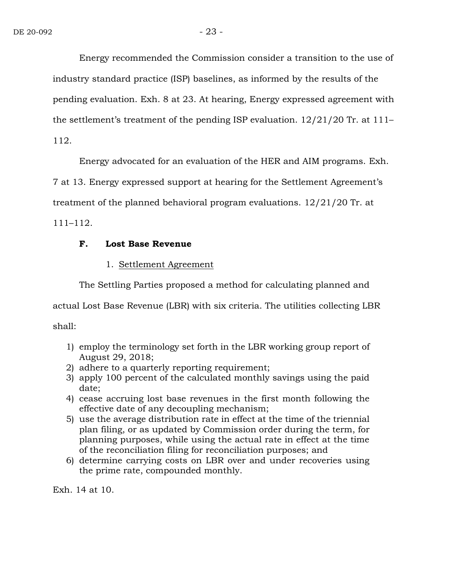Energy recommended the Commission consider a transition to the use of industry standard practice (ISP) baselines, as informed by the results of the pending evaluation. Exh. 8 at 23. At hearing, Energy expressed agreement with the settlement's treatment of the pending ISP evaluation. 12/21/20 Tr. at 111– 112.

Energy advocated for an evaluation of the HER and AIM programs. Exh.

7 at 13. Energy expressed support at hearing for the Settlement Agreement's

treatment of the planned behavioral program evaluations. 12/21/20 Tr. at

111–112.

#### **F. Lost Base Revenue**

### 1. Settlement Agreement

The Settling Parties proposed a method for calculating planned and

actual Lost Base Revenue (LBR) with six criteria. The utilities collecting LBR

shall:

- 1) employ the terminology set forth in the LBR working group report of August 29, 2018;
- 2) adhere to a quarterly reporting requirement;
- 3) apply 100 percent of the calculated monthly savings using the paid date;
- 4) cease accruing lost base revenues in the first month following the effective date of any decoupling mechanism;
- 5) use the average distribution rate in effect at the time of the triennial plan filing, or as updated by Commission order during the term, for planning purposes, while using the actual rate in effect at the time of the reconciliation filing for reconciliation purposes; and
- 6) determine carrying costs on LBR over and under recoveries using the prime rate, compounded monthly.

Exh. 14 at 10.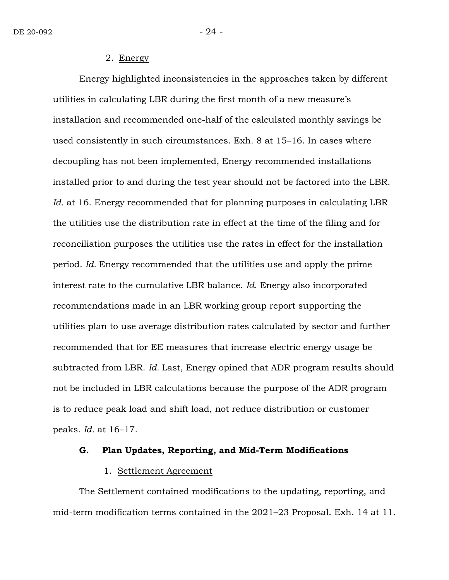2. Energy

Energy highlighted inconsistencies in the approaches taken by different utilities in calculating LBR during the first month of a new measure's installation and recommended one-half of the calculated monthly savings be used consistently in such circumstances. Exh. 8 at 15–16. In cases where decoupling has not been implemented, Energy recommended installations installed prior to and during the test year should not be factored into the LBR. *Id.* at 16. Energy recommended that for planning purposes in calculating LBR the utilities use the distribution rate in effect at the time of the filing and for reconciliation purposes the utilities use the rates in effect for the installation period. *Id.* Energy recommended that the utilities use and apply the prime interest rate to the cumulative LBR balance. *Id.* Energy also incorporated recommendations made in an LBR working group report supporting the utilities plan to use average distribution rates calculated by sector and further recommended that for EE measures that increase electric energy usage be subtracted from LBR. *Id.* Last, Energy opined that ADR program results should not be included in LBR calculations because the purpose of the ADR program is to reduce peak load and shift load, not reduce distribution or customer peaks. *Id.* at 16–17.

#### **G. Plan Updates, Reporting, and Mid-Term Modifications**

#### 1. Settlement Agreement

The Settlement contained modifications to the updating, reporting, and mid-term modification terms contained in the 2021–23 Proposal. Exh. 14 at 11.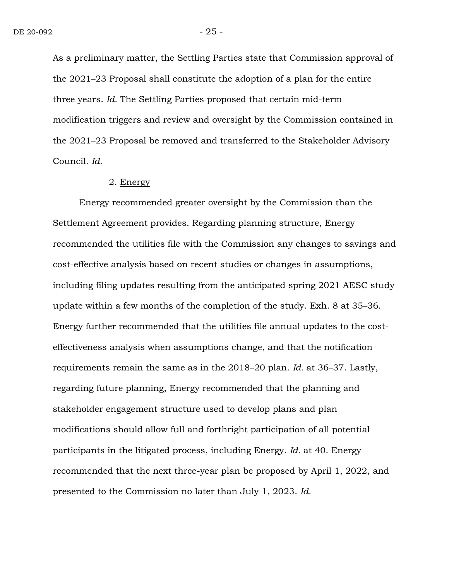As a preliminary matter, the Settling Parties state that Commission approval of the 2021–23 Proposal shall constitute the adoption of a plan for the entire three years. *Id.* The Settling Parties proposed that certain mid-term modification triggers and review and oversight by the Commission contained in the 2021–23 Proposal be removed and transferred to the Stakeholder Advisory Council. *Id.*

#### 2. Energy

Energy recommended greater oversight by the Commission than the Settlement Agreement provides. Regarding planning structure, Energy recommended the utilities file with the Commission any changes to savings and cost-effective analysis based on recent studies or changes in assumptions, including filing updates resulting from the anticipated spring 2021 AESC study update within a few months of the completion of the study. Exh. 8 at 35–36. Energy further recommended that the utilities file annual updates to the costeffectiveness analysis when assumptions change, and that the notification requirements remain the same as in the 2018–20 plan. *Id.* at 36–37. Lastly, regarding future planning, Energy recommended that the planning and stakeholder engagement structure used to develop plans and plan modifications should allow full and forthright participation of all potential participants in the litigated process, including Energy. *Id.* at 40. Energy recommended that the next three-year plan be proposed by April 1, 2022, and presented to the Commission no later than July 1, 2023. *Id.*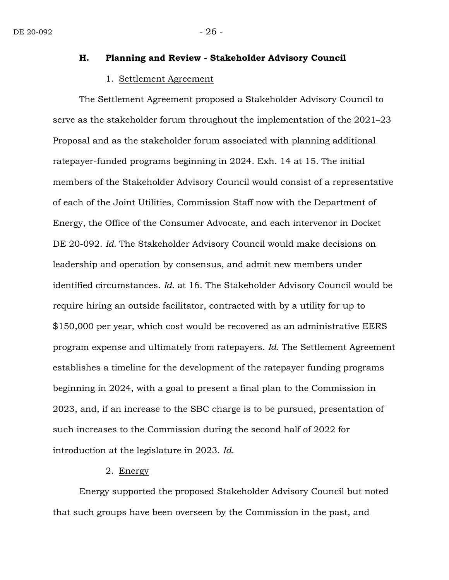## **H. Planning and Review - Stakeholder Advisory Council**

#### 1. Settlement Agreement

The Settlement Agreement proposed a Stakeholder Advisory Council to serve as the stakeholder forum throughout the implementation of the 2021–23 Proposal and as the stakeholder forum associated with planning additional ratepayer-funded programs beginning in 2024. Exh. 14 at 15*.* The initial members of the Stakeholder Advisory Council would consist of a representative of each of the Joint Utilities, Commission Staff now with the Department of Energy, the Office of the Consumer Advocate, and each intervenor in Docket DE 20-092. *Id.* The Stakeholder Advisory Council would make decisions on leadership and operation by consensus, and admit new members under identified circumstances. *Id.* at 16. The Stakeholder Advisory Council would be require hiring an outside facilitator, contracted with by a utility for up to \$150,000 per year, which cost would be recovered as an administrative EERS program expense and ultimately from ratepayers. *Id.* The Settlement Agreement establishes a timeline for the development of the ratepayer funding programs beginning in 2024, with a goal to present a final plan to the Commission in 2023, and, if an increase to the SBC charge is to be pursued, presentation of such increases to the Commission during the second half of 2022 for introduction at the legislature in 2023. *Id.*

#### 2. Energy

Energy supported the proposed Stakeholder Advisory Council but noted that such groups have been overseen by the Commission in the past, and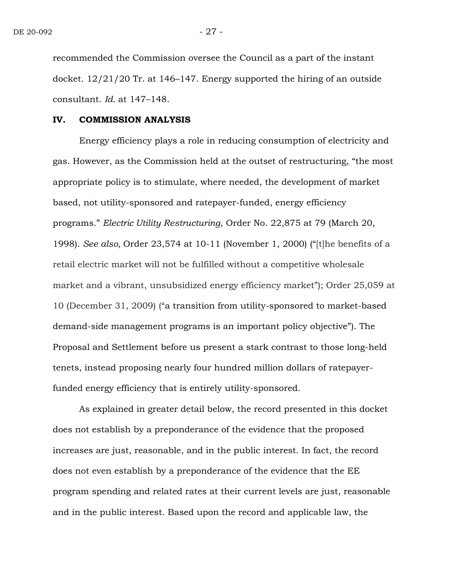recommended the Commission oversee the Council as a part of the instant docket. 12/21/20 Tr. at 146–147. Energy supported the hiring of an outside consultant. *Id.* at 147–148.

#### **IV. COMMISSION ANALYSIS**

Energy efficiency plays a role in reducing consumption of electricity and gas. However, as the Commission held at the outset of restructuring, "the most appropriate policy is to stimulate, where needed, the development of market based, not utility-sponsored and ratepayer-funded, energy efficiency programs." *Electric Utility Restructuring*, Order No. 22,875 at 79 (March 20, 1998). *See also,* Order 23,574 at 10-11 (November 1, 2000) ("[t]he benefits of a retail electric market will not be fulfilled without a competitive wholesale market and a vibrant, unsubsidized energy efficiency market"); Order 25,059 at 10 (December 31, 2009) ("a transition from utility-sponsored to market-based demand-side management programs is an important policy objective"). The Proposal and Settlement before us present a stark contrast to those long-held tenets, instead proposing nearly four hundred million dollars of ratepayerfunded energy efficiency that is entirely utility-sponsored.

As explained in greater detail below, the record presented in this docket does not establish by a preponderance of the evidence that the proposed increases are just, reasonable, and in the public interest. In fact, the record does not even establish by a preponderance of the evidence that the EE program spending and related rates at their current levels are just, reasonable and in the public interest. Based upon the record and applicable law, the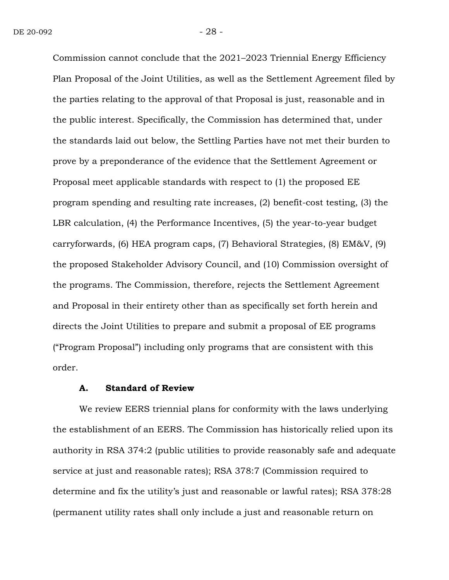Commission cannot conclude that the 2021–2023 Triennial Energy Efficiency Plan Proposal of the Joint Utilities, as well as the Settlement Agreement filed by the parties relating to the approval of that Proposal is just, reasonable and in the public interest. Specifically, the Commission has determined that, under the standards laid out below, the Settling Parties have not met their burden to prove by a preponderance of the evidence that the Settlement Agreement or Proposal meet applicable standards with respect to (1) the proposed EE program spending and resulting rate increases, (2) benefit-cost testing, (3) the LBR calculation, (4) the Performance Incentives, (5) the year-to-year budget carryforwards, (6) HEA program caps, (7) Behavioral Strategies, (8) EM&V, (9) the proposed Stakeholder Advisory Council, and (10) Commission oversight of the programs. The Commission, therefore, rejects the Settlement Agreement and Proposal in their entirety other than as specifically set forth herein and directs the Joint Utilities to prepare and submit a proposal of EE programs ("Program Proposal") including only programs that are consistent with this order.

#### **A. Standard of Review**

We review EERS triennial plans for conformity with the laws underlying the establishment of an EERS. The Commission has historically relied upon its authority in RSA 374:2 (public utilities to provide reasonably safe and adequate service at just and reasonable rates); RSA 378:7 (Commission required to determine and fix the utility's just and reasonable or lawful rates); RSA 378:28 (permanent utility rates shall only include a just and reasonable return on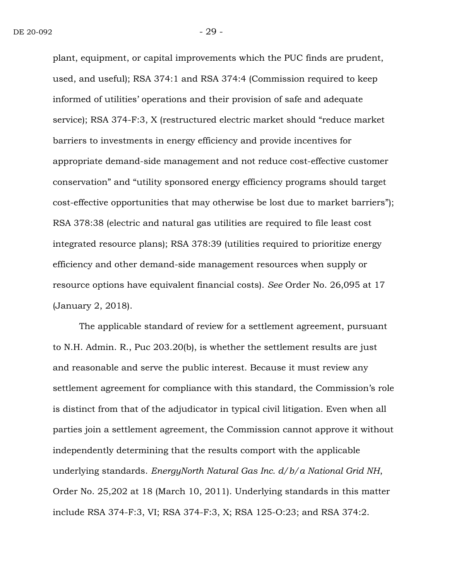plant, equipment, or capital improvements which the PUC finds are prudent, used, and useful); RSA 374:1 and RSA 374:4 (Commission required to keep informed of utilities' operations and their provision of safe and adequate service); RSA 374-F:3, X (restructured electric market should "reduce market barriers to investments in energy efficiency and provide incentives for appropriate demand-side management and not reduce cost-effective customer conservation" and "utility sponsored energy efficiency programs should target cost-effective opportunities that may otherwise be lost due to market barriers"); RSA 378:38 (electric and natural gas utilities are required to file least cost integrated resource plans); RSA 378:39 (utilities required to prioritize energy efficiency and other demand-side management resources when supply or resource options have equivalent financial costs). *See* Order No. 26,095 at 17 (January 2, 2018).

The applicable standard of review for a settlement agreement, pursuant to N.H. Admin. R., Puc 203.20(b), is whether the settlement results are just and reasonable and serve the public interest. Because it must review any settlement agreement for compliance with this standard, the Commission's role is distinct from that of the adjudicator in typical civil litigation. Even when all parties join a settlement agreement, the Commission cannot approve it without independently determining that the results comport with the applicable underlying standards. *EnergyNorth Natural Gas Inc. d/b/a National Grid NH*, Order No. 25,202 at 18 (March 10, 2011). Underlying standards in this matter include RSA 374-F:3, VI; RSA 374-F:3, X; RSA 125-O:23; and RSA 374:2.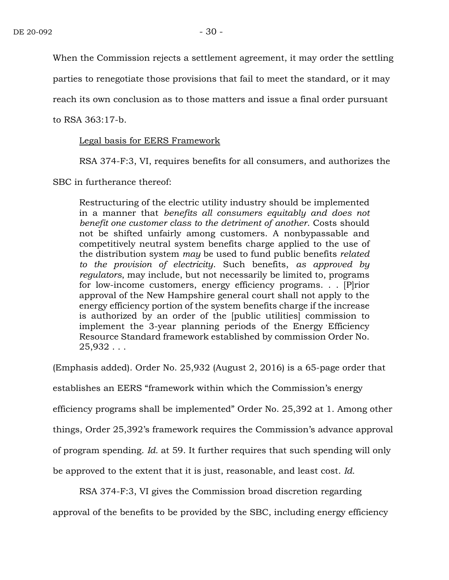When the Commission rejects a settlement agreement, it may order the settling

parties to renegotiate those provisions that fail to meet the standard, or it may

reach its own conclusion as to those matters and issue a final order pursuant

to RSA 363:17-b.

#### Legal basis for EERS Framework

RSA 374-F:3, VI, requires benefits for all consumers, and authorizes the

SBC in furtherance thereof:

Restructuring of the electric utility industry should be implemented in a manner that *benefits all consumers equitably and does not benefit one customer class to the detriment of another*. Costs should not be shifted unfairly among customers. A nonbypassable and competitively neutral system benefits charge applied to the use of the distribution system *may* be used to fund public benefits *related to the provision of electricity*. Such benefits, *as approved by regulators*, may include, but not necessarily be limited to, programs for low-income customers, energy efficiency programs. . . [P]rior approval of the New Hampshire general court shall not apply to the energy efficiency portion of the system benefits charge if the increase is authorized by an order of the [public utilities] commission to implement the 3-year planning periods of the Energy Efficiency Resource Standard framework established by commission Order No.  $25,932...$ 

(Emphasis added). Order No. 25,932 (August 2, 2016) is a 65-page order that establishes an EERS "framework within which the Commission's energy efficiency programs shall be implemented" Order No. 25,392 at 1. Among other things, Order 25,392's framework requires the Commission's advance approval of program spending. *Id.* at 59. It further requires that such spending will only be approved to the extent that it is just, reasonable, and least cost. *Id.*

RSA 374-F:3, VI gives the Commission broad discretion regarding

approval of the benefits to be provided by the SBC, including energy efficiency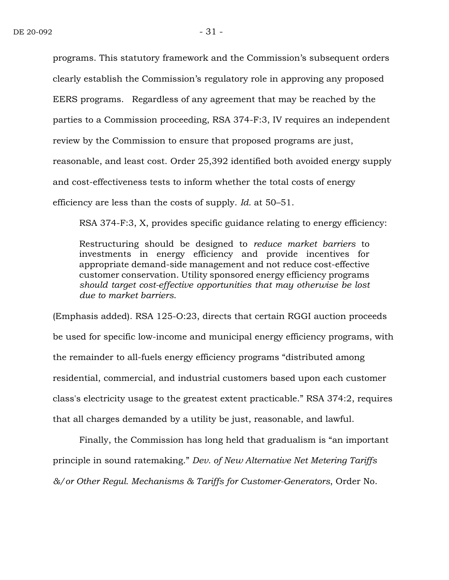programs. This statutory framework and the Commission's subsequent orders clearly establish the Commission's regulatory role in approving any proposed EERS programs. Regardless of any agreement that may be reached by the parties to a Commission proceeding, RSA 374-F:3, IV requires an independent review by the Commission to ensure that proposed programs are just, reasonable, and least cost. Order 25,392 identified both avoided energy supply and cost-effectiveness tests to inform whether the total costs of energy efficiency are less than the costs of supply. *Id.* at 50–51.

RSA 374-F:3, X, provides specific guidance relating to energy efficiency:

Restructuring should be designed to *reduce market barriers* to investments in energy efficiency and provide incentives for appropriate demand-side management and not reduce cost-effective customer conservation. Utility sponsored energy efficiency programs *should target cost-effective opportunities that may otherwise be lost due to market barriers*.

(Emphasis added). RSA 125-O:23, directs that certain RGGI auction proceeds be used for specific low-income and municipal energy efficiency programs, with the remainder to all-fuels energy efficiency programs "distributed among residential, commercial, and industrial customers based upon each customer class's electricity usage to the greatest extent practicable." RSA 374:2, requires that all charges demanded by a utility be just, reasonable, and lawful.

Finally, the Commission has long held that gradualism is "an important principle in sound ratemaking." *Dev. of New Alternative Net Metering Tariffs &/or Other Regul. Mechanisms & Tariffs for Customer-Generators*, Order No.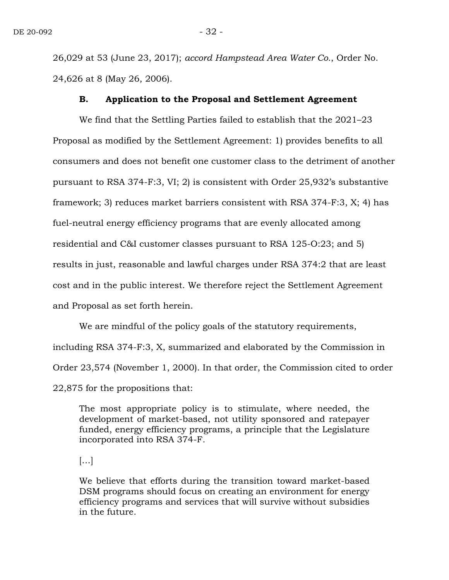26,029 at 53 (June 23, 2017); *accord Hampstead Area Water Co.*, Order No. 24,626 at 8 (May 26, 2006).

#### **B. Application to the Proposal and Settlement Agreement**

We find that the Settling Parties failed to establish that the 2021–23 Proposal as modified by the Settlement Agreement: 1) provides benefits to all consumers and does not benefit one customer class to the detriment of another pursuant to RSA 374-F:3, VI; 2) is consistent with Order 25,932's substantive framework; 3) reduces market barriers consistent with RSA 374-F:3, X; 4) has fuel-neutral energy efficiency programs that are evenly allocated among residential and C&I customer classes pursuant to RSA 125-O:23; and 5) results in just, reasonable and lawful charges under RSA 374:2 that are least cost and in the public interest. We therefore reject the Settlement Agreement and Proposal as set forth herein.

We are mindful of the policy goals of the statutory requirements, including RSA 374-F:3, X, summarized and elaborated by the Commission in Order 23,574 (November 1, 2000). In that order, the Commission cited to order 22,875 for the propositions that:

The most appropriate policy is to stimulate, where needed, the development of market-based, not utility sponsored and ratepayer funded, energy efficiency programs, a principle that the Legislature incorporated into RSA 374-F.

 $\left[\ldots\right]$ 

We believe that efforts during the transition toward market-based DSM programs should focus on creating an environment for energy efficiency programs and services that will survive without subsidies in the future.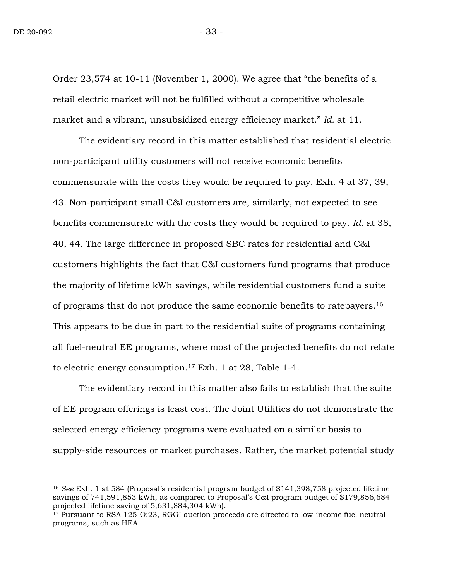$\overline{a}$ 

Order 23,574 at 10-11 (November 1, 2000). We agree that "the benefits of a retail electric market will not be fulfilled without a competitive wholesale market and a vibrant, unsubsidized energy efficiency market." *Id.* at 11.

The evidentiary record in this matter established that residential electric non-participant utility customers will not receive economic benefits commensurate with the costs they would be required to pay. Exh. 4 at 37, 39, 43. Non-participant small C&I customers are, similarly, not expected to see benefits commensurate with the costs they would be required to pay. *Id.* at 38, 40, 44. The large difference in proposed SBC rates for residential and C&I customers highlights the fact that C&I customers fund programs that produce the majority of lifetime kWh savings, while residential customers fund a suite of programs that do not produce the same economic benefits to ratepayers.<sup>16</sup> This appears to be due in part to the residential suite of programs containing all fuel-neutral EE programs, where most of the projected benefits do not relate to electric energy consumption.<sup>17</sup> Exh*.* 1 at 28, Table 1-4.

The evidentiary record in this matter also fails to establish that the suite of EE program offerings is least cost. The Joint Utilities do not demonstrate the selected energy efficiency programs were evaluated on a similar basis to supply-side resources or market purchases. Rather, the market potential study

<sup>16</sup> *See* Exh. 1 at 584 (Proposal's residential program budget of \$141,398,758 projected lifetime savings of 741,591,853 kWh, as compared to Proposal's C&I program budget of \$179,856,684 projected lifetime saving of 5,631,884,304 kWh).

<sup>17</sup> Pursuant to RSA 125-O:23, RGGI auction proceeds are directed to low-income fuel neutral programs, such as HEA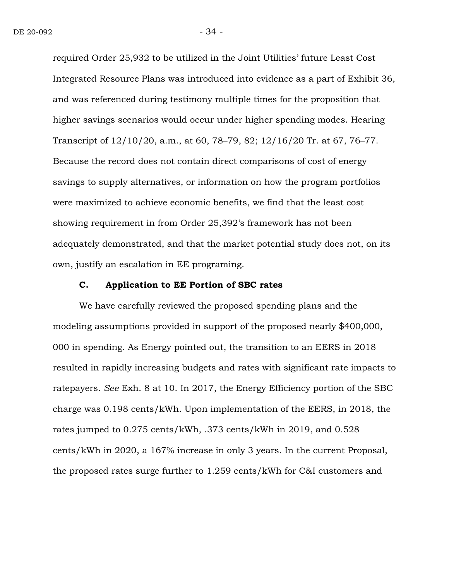required Order 25,932 to be utilized in the Joint Utilities' future Least Cost Integrated Resource Plans was introduced into evidence as a part of Exhibit 36, and was referenced during testimony multiple times for the proposition that higher savings scenarios would occur under higher spending modes. Hearing Transcript of 12/10/20, a.m., at 60, 78–79, 82; 12/16/20 Tr. at 67, 76–77. Because the record does not contain direct comparisons of cost of energy savings to supply alternatives, or information on how the program portfolios were maximized to achieve economic benefits, we find that the least cost showing requirement in from Order 25,392's framework has not been adequately demonstrated, and that the market potential study does not, on its own, justify an escalation in EE programing.

#### **C. Application to EE Portion of SBC rates**

We have carefully reviewed the proposed spending plans and the modeling assumptions provided in support of the proposed nearly \$400,000, 000 in spending. As Energy pointed out, the transition to an EERS in 2018 resulted in rapidly increasing budgets and rates with significant rate impacts to ratepayers. *See* Exh. 8 at 10. In 2017, the Energy Efficiency portion of the SBC charge was 0.198 cents/kWh. Upon implementation of the EERS, in 2018, the rates jumped to 0.275 cents/kWh, .373 cents/kWh in 2019, and 0.528 cents/kWh in 2020, a 167% increase in only 3 years. In the current Proposal, the proposed rates surge further to 1.259 cents/kWh for C&I customers and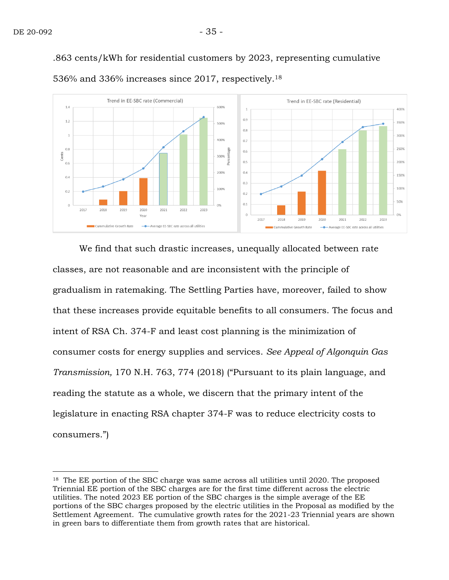$\overline{a}$ 

.863 cents/kWh for residential customers by 2023, representing cumulative



536% and 336% increases since 2017, respectively. 18

We find that such drastic increases, unequally allocated between rate classes, are not reasonable and are inconsistent with the principle of gradualism in ratemaking. The Settling Parties have, moreover, failed to show that these increases provide equitable benefits to all consumers. The focus and intent of RSA Ch. 374-F and least cost planning is the minimization of consumer costs for energy supplies and services. *See Appeal of Algonquin Gas Transmission,* 170 N.H. 763, 774 (2018) ("Pursuant to its plain language, and reading the statute as a whole, we discern that the primary intent of the legislature in enacting RSA chapter 374-F was to reduce electricity costs to consumers.")

<sup>&</sup>lt;sup>18</sup> The EE portion of the SBC charge was same across all utilities until 2020. The proposed Triennial EE portion of the SBC charges are for the first time different across the electric utilities. The noted 2023 EE portion of the SBC charges is the simple average of the EE portions of the SBC charges proposed by the electric utilities in the Proposal as modified by the Settlement Agreement. The cumulative growth rates for the 2021-23 Triennial years are shown in green bars to differentiate them from growth rates that are historical.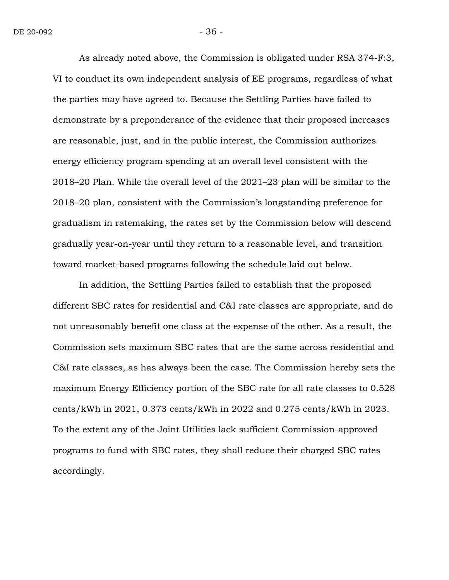As already noted above, the Commission is obligated under RSA 374-F:3, VI to conduct its own independent analysis of EE programs, regardless of what the parties may have agreed to. Because the Settling Parties have failed to demonstrate by a preponderance of the evidence that their proposed increases are reasonable, just, and in the public interest, the Commission authorizes energy efficiency program spending at an overall level consistent with the 2018–20 Plan. While the overall level of the 2021–23 plan will be similar to the 2018–20 plan, consistent with the Commission's longstanding preference for gradualism in ratemaking, the rates set by the Commission below will descend gradually year-on-year until they return to a reasonable level, and transition toward market-based programs following the schedule laid out below.

In addition, the Settling Parties failed to establish that the proposed different SBC rates for residential and C&I rate classes are appropriate, and do not unreasonably benefit one class at the expense of the other. As a result, the Commission sets maximum SBC rates that are the same across residential and C&I rate classes, as has always been the case. The Commission hereby sets the maximum Energy Efficiency portion of the SBC rate for all rate classes to 0.528 cents/kWh in 2021, 0.373 cents/kWh in 2022 and 0.275 cents/kWh in 2023. To the extent any of the Joint Utilities lack sufficient Commission-approved programs to fund with SBC rates, they shall reduce their charged SBC rates accordingly.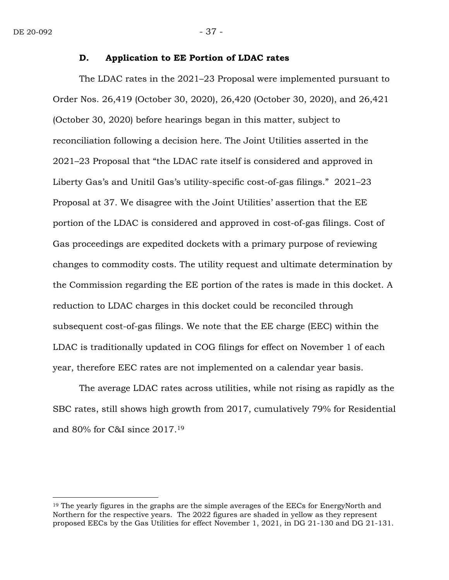$\overline{a}$ 

#### **D. Application to EE Portion of LDAC rates**

The LDAC rates in the 2021–23 Proposal were implemented pursuant to Order Nos. 26,419 (October 30, 2020), 26,420 (October 30, 2020), and 26,421 (October 30, 2020) before hearings began in this matter, subject to reconciliation following a decision here. The Joint Utilities asserted in the 2021–23 Proposal that "the LDAC rate itself is considered and approved in Liberty Gas's and Unitil Gas's utility-specific cost-of-gas filings." 2021–23 Proposal at 37. We disagree with the Joint Utilities' assertion that the EE portion of the LDAC is considered and approved in cost-of-gas filings. Cost of Gas proceedings are expedited dockets with a primary purpose of reviewing changes to commodity costs. The utility request and ultimate determination by the Commission regarding the EE portion of the rates is made in this docket. A reduction to LDAC charges in this docket could be reconciled through subsequent cost-of-gas filings. We note that the EE charge (EEC) within the LDAC is traditionally updated in COG filings for effect on November 1 of each year, therefore EEC rates are not implemented on a calendar year basis.

The average LDAC rates across utilities, while not rising as rapidly as the SBC rates, still shows high growth from 2017, cumulatively 79% for Residential and 80% for C&I since 2017. <sup>19</sup>

<sup>&</sup>lt;sup>19</sup> The yearly figures in the graphs are the simple averages of the EECs for EnergyNorth and Northern for the respective years. The 2022 figures are shaded in yellow as they represent proposed EECs by the Gas Utilities for effect November 1, 2021, in DG 21-130 and DG 21-131.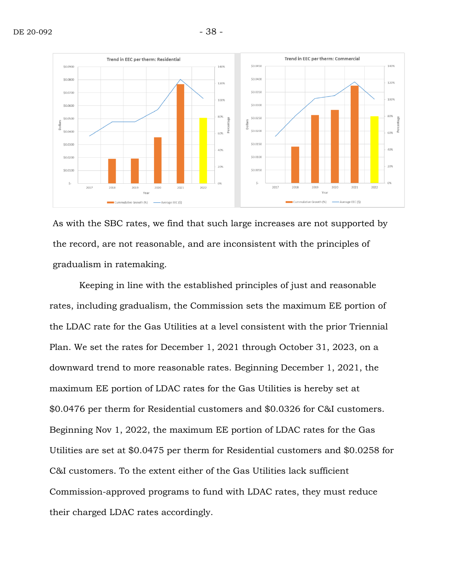

As with the SBC rates, we find that such large increases are not supported by the record, are not reasonable, and are inconsistent with the principles of gradualism in ratemaking.

Keeping in line with the established principles of just and reasonable rates, including gradualism, the Commission sets the maximum EE portion of the LDAC rate for the Gas Utilities at a level consistent with the prior Triennial Plan. We set the rates for December 1, 2021 through October 31, 2023, on a downward trend to more reasonable rates. Beginning December 1, 2021, the maximum EE portion of LDAC rates for the Gas Utilities is hereby set at \$0.0476 per therm for Residential customers and \$0.0326 for C&I customers. Beginning Nov 1, 2022, the maximum EE portion of LDAC rates for the Gas Utilities are set at \$0.0475 per therm for Residential customers and \$0.0258 for C&I customers. To the extent either of the Gas Utilities lack sufficient Commission-approved programs to fund with LDAC rates, they must reduce their charged LDAC rates accordingly.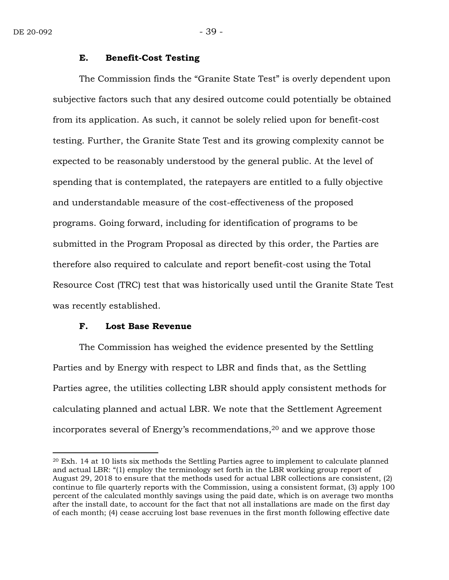$\overline{a}$ 

#### **E. Benefit-Cost Testing**

The Commission finds the "Granite State Test" is overly dependent upon subjective factors such that any desired outcome could potentially be obtained from its application. As such, it cannot be solely relied upon for benefit-cost testing. Further, the Granite State Test and its growing complexity cannot be expected to be reasonably understood by the general public. At the level of spending that is contemplated, the ratepayers are entitled to a fully objective and understandable measure of the cost-effectiveness of the proposed programs. Going forward, including for identification of programs to be submitted in the Program Proposal as directed by this order, the Parties are therefore also required to calculate and report benefit-cost using the Total Resource Cost (TRC) test that was historically used until the Granite State Test was recently established.

#### **F. Lost Base Revenue**

The Commission has weighed the evidence presented by the Settling Parties and by Energy with respect to LBR and finds that, as the Settling Parties agree, the utilities collecting LBR should apply consistent methods for calculating planned and actual LBR. We note that the Settlement Agreement incorporates several of Energy's recommendations,<sup>20</sup> and we approve those

<sup>20</sup> Exh. 14 at 10 lists six methods the Settling Parties agree to implement to calculate planned and actual LBR: "(1) employ the terminology set forth in the LBR working group report of August 29, 2018 to ensure that the methods used for actual LBR collections are consistent, (2) continue to file quarterly reports with the Commission, using a consistent format, (3) apply 100 percent of the calculated monthly savings using the paid date, which is on average two months after the install date, to account for the fact that not all installations are made on the first day of each month; (4) cease accruing lost base revenues in the first month following effective date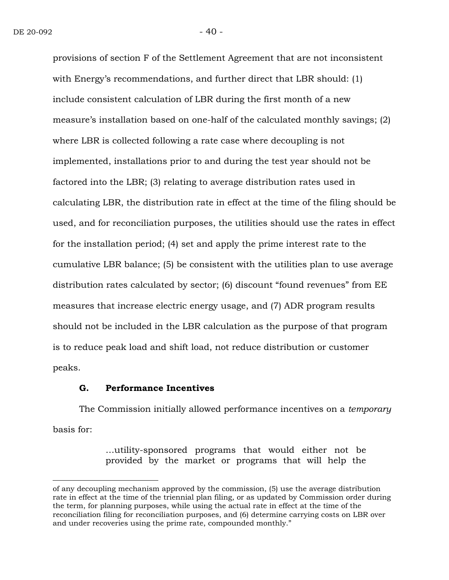provisions of section F of the Settlement Agreement that are not inconsistent with Energy's recommendations, and further direct that LBR should: (1) include consistent calculation of LBR during the first month of a new measure's installation based on one-half of the calculated monthly savings; (2) where LBR is collected following a rate case where decoupling is not implemented, installations prior to and during the test year should not be factored into the LBR; (3) relating to average distribution rates used in calculating LBR, the distribution rate in effect at the time of the filing should be used, and for reconciliation purposes, the utilities should use the rates in effect for the installation period; (4) set and apply the prime interest rate to the cumulative LBR balance; (5) be consistent with the utilities plan to use average distribution rates calculated by sector; (6) discount "found revenues" from EE measures that increase electric energy usage, and (7) ADR program results should not be included in the LBR calculation as the purpose of that program is to reduce peak load and shift load, not reduce distribution or customer peaks.

#### **G. Performance Incentives**

 $\overline{a}$ 

The Commission initially allowed performance incentives on a *temporary* basis for:

> …utility-sponsored programs that would either not be provided by the market or programs that will help the

of any decoupling mechanism approved by the commission, (5) use the average distribution rate in effect at the time of the triennial plan filing, or as updated by Commission order during the term, for planning purposes, while using the actual rate in effect at the time of the reconciliation filing for reconciliation purposes, and (6) determine carrying costs on LBR over and under recoveries using the prime rate, compounded monthly."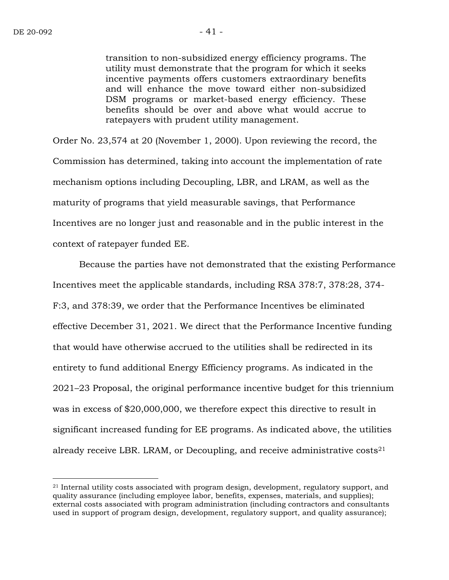$\overline{a}$ 

transition to non-subsidized energy efficiency programs. The utility must demonstrate that the program for which it seeks incentive payments offers customers extraordinary benefits and will enhance the move toward either non-subsidized DSM programs or market-based energy efficiency. These benefits should be over and above what would accrue to ratepayers with prudent utility management.

Order No. 23,574 at 20 (November 1, 2000). Upon reviewing the record, the Commission has determined, taking into account the implementation of rate mechanism options including Decoupling, LBR, and LRAM, as well as the maturity of programs that yield measurable savings, that Performance Incentives are no longer just and reasonable and in the public interest in the context of ratepayer funded EE.

Because the parties have not demonstrated that the existing Performance Incentives meet the applicable standards, including RSA 378:7, 378:28, 374- F:3, and 378:39, we order that the Performance Incentives be eliminated effective December 31, 2021. We direct that the Performance Incentive funding that would have otherwise accrued to the utilities shall be redirected in its entirety to fund additional Energy Efficiency programs. As indicated in the 2021–23 Proposal, the original performance incentive budget for this triennium was in excess of \$20,000,000, we therefore expect this directive to result in significant increased funding for EE programs. As indicated above, the utilities already receive LBR. LRAM, or Decoupling, and receive administrative costs<sup>21</sup>

 $21$  Internal utility costs associated with program design, development, regulatory support, and quality assurance (including employee labor, benefits, expenses, materials, and supplies); external costs associated with program administration (including contractors and consultants used in support of program design, development, regulatory support, and quality assurance);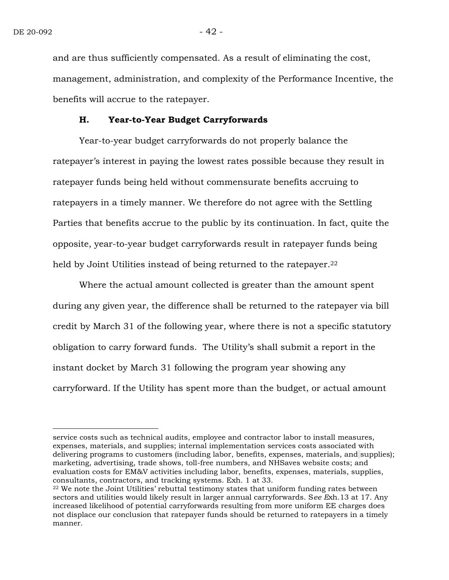$\overline{a}$ 

and are thus sufficiently compensated. As a result of eliminating the cost, management, administration, and complexity of the Performance Incentive, the benefits will accrue to the ratepayer.

#### **H. Year-to-Year Budget Carryforwards**

Year-to-year budget carryforwards do not properly balance the ratepayer's interest in paying the lowest rates possible because they result in ratepayer funds being held without commensurate benefits accruing to ratepayers in a timely manner. We therefore do not agree with the Settling Parties that benefits accrue to the public by its continuation. In fact, quite the opposite, year-to-year budget carryforwards result in ratepayer funds being held by Joint Utilities instead of being returned to the ratepayer. 22

Where the actual amount collected is greater than the amount spent during any given year, the difference shall be returned to the ratepayer via bill credit by March 31 of the following year, where there is not a specific statutory obligation to carry forward funds. The Utility's shall submit a report in the instant docket by March 31 following the program year showing any carryforward. If the Utility has spent more than the budget, or actual amount

service costs such as technical audits, employee and contractor labor to install measures, expenses, materials, and supplies; internal implementation services costs associated with delivering programs to customers (including labor, benefits, expenses, materials, and supplies); marketing, advertising, trade shows, toll-free numbers, and NHSaves website costs; and evaluation costs for EM&V activities including labor, benefits, expenses, materials, supplies, consultants, contractors, and tracking systems. Exh. 1 at 33.

 $22$  We note the Joint Utilities' rebuttal testimony states that uniform funding rates between sectors and utilities would likely result in larger annual carryforwards. S*ee E*xh.13 at 17. Any increased likelihood of potential carryforwards resulting from more uniform EE charges does not displace our conclusion that ratepayer funds should be returned to ratepayers in a timely manner.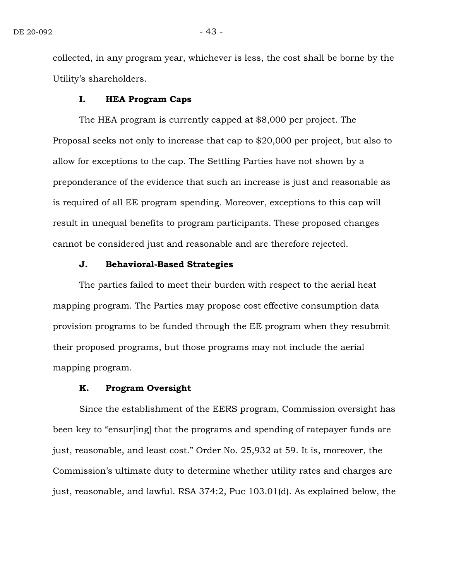collected, in any program year, whichever is less, the cost shall be borne by the Utility's shareholders.

#### **I. HEA Program Caps**

The HEA program is currently capped at \$8,000 per project. The Proposal seeks not only to increase that cap to \$20,000 per project, but also to allow for exceptions to the cap. The Settling Parties have not shown by a preponderance of the evidence that such an increase is just and reasonable as is required of all EE program spending. Moreover, exceptions to this cap will result in unequal benefits to program participants. These proposed changes cannot be considered just and reasonable and are therefore rejected.

#### **J. Behavioral-Based Strategies**

The parties failed to meet their burden with respect to the aerial heat mapping program. The Parties may propose cost effective consumption data provision programs to be funded through the EE program when they resubmit their proposed programs, but those programs may not include the aerial mapping program.

#### **K. Program Oversight**

Since the establishment of the EERS program, Commission oversight has been key to "ensur[ing] that the programs and spending of ratepayer funds are just, reasonable, and least cost." Order No. 25,932 at 59. It is, moreover, the Commission's ultimate duty to determine whether utility rates and charges are just, reasonable, and lawful. RSA 374:2, Puc 103.01(d). As explained below, the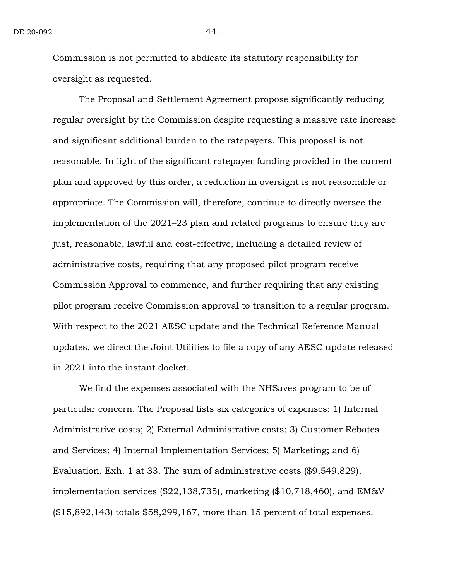Commission is not permitted to abdicate its statutory responsibility for oversight as requested.

The Proposal and Settlement Agreement propose significantly reducing regular oversight by the Commission despite requesting a massive rate increase and significant additional burden to the ratepayers. This proposal is not reasonable. In light of the significant ratepayer funding provided in the current plan and approved by this order, a reduction in oversight is not reasonable or appropriate. The Commission will, therefore, continue to directly oversee the implementation of the 2021–23 plan and related programs to ensure they are just, reasonable, lawful and cost-effective, including a detailed review of administrative costs, requiring that any proposed pilot program receive Commission Approval to commence, and further requiring that any existing pilot program receive Commission approval to transition to a regular program. With respect to the 2021 AESC update and the Technical Reference Manual updates, we direct the Joint Utilities to file a copy of any AESC update released in 2021 into the instant docket.

We find the expenses associated with the NHSaves program to be of particular concern. The Proposal lists six categories of expenses: 1) Internal Administrative costs; 2) External Administrative costs; 3) Customer Rebates and Services; 4) Internal Implementation Services; 5) Marketing; and 6) Evaluation. Exh. 1 at 33. The sum of administrative costs (\$9,549,829), implementation services (\$22,138,735), marketing (\$10,718,460), and EM&V (\$15,892,143) totals \$58,299,167, more than 15 percent of total expenses.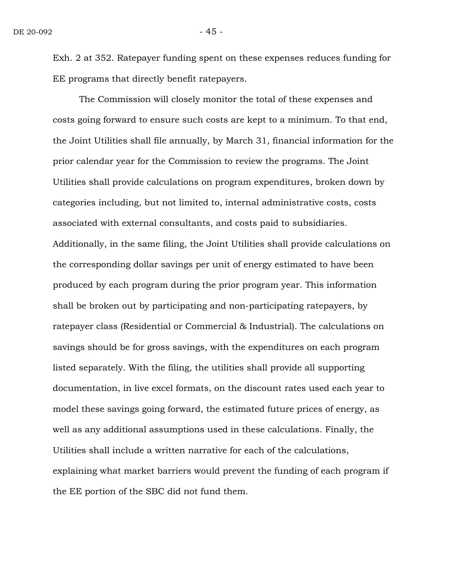Exh. 2 at 352. Ratepayer funding spent on these expenses reduces funding for EE programs that directly benefit ratepayers.

The Commission will closely monitor the total of these expenses and costs going forward to ensure such costs are kept to a minimum. To that end, the Joint Utilities shall file annually, by March 31, financial information for the prior calendar year for the Commission to review the programs. The Joint Utilities shall provide calculations on program expenditures, broken down by categories including, but not limited to, internal administrative costs, costs associated with external consultants, and costs paid to subsidiaries. Additionally, in the same filing, the Joint Utilities shall provide calculations on the corresponding dollar savings per unit of energy estimated to have been produced by each program during the prior program year. This information shall be broken out by participating and non-participating ratepayers, by ratepayer class (Residential or Commercial & Industrial). The calculations on savings should be for gross savings, with the expenditures on each program listed separately. With the filing, the utilities shall provide all supporting documentation, in live excel formats, on the discount rates used each year to model these savings going forward, the estimated future prices of energy, as well as any additional assumptions used in these calculations. Finally, the Utilities shall include a written narrative for each of the calculations, explaining what market barriers would prevent the funding of each program if the EE portion of the SBC did not fund them.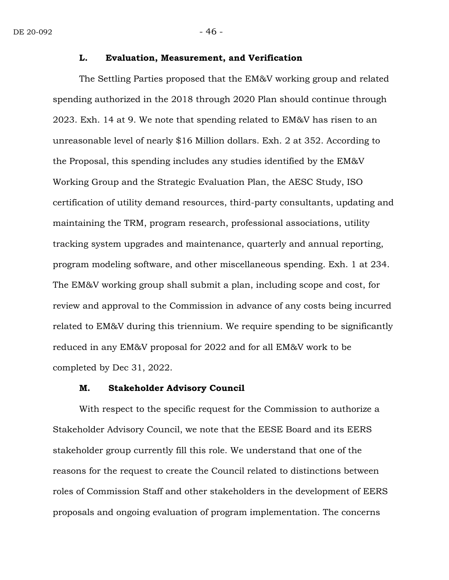#### **L. Evaluation, Measurement, and Verification**

The Settling Parties proposed that the EM&V working group and related spending authorized in the 2018 through 2020 Plan should continue through 2023. Exh. 14 at 9. We note that spending related to EM&V has risen to an unreasonable level of nearly \$16 Million dollars. Exh. 2 at 352. According to the Proposal, this spending includes any studies identified by the EM&V Working Group and the Strategic Evaluation Plan, the AESC Study, ISO certification of utility demand resources, third-party consultants, updating and maintaining the TRM, program research, professional associations, utility tracking system upgrades and maintenance, quarterly and annual reporting, program modeling software, and other miscellaneous spending. Exh. 1 at 234. The EM&V working group shall submit a plan, including scope and cost, for review and approval to the Commission in advance of any costs being incurred related to EM&V during this triennium. We require spending to be significantly reduced in any EM&V proposal for 2022 and for all EM&V work to be completed by Dec 31, 2022.

#### **M. Stakeholder Advisory Council**

With respect to the specific request for the Commission to authorize a Stakeholder Advisory Council, we note that the EESE Board and its EERS stakeholder group currently fill this role. We understand that one of the reasons for the request to create the Council related to distinctions between roles of Commission Staff and other stakeholders in the development of EERS proposals and ongoing evaluation of program implementation. The concerns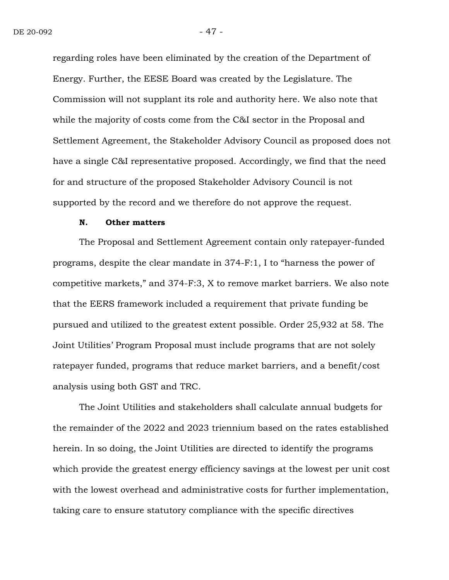regarding roles have been eliminated by the creation of the Department of Energy. Further, the EESE Board was created by the Legislature. The Commission will not supplant its role and authority here. We also note that while the majority of costs come from the C&I sector in the Proposal and Settlement Agreement, the Stakeholder Advisory Council as proposed does not have a single C&I representative proposed. Accordingly, we find that the need for and structure of the proposed Stakeholder Advisory Council is not supported by the record and we therefore do not approve the request.

#### **N. Other matters**

The Proposal and Settlement Agreement contain only ratepayer-funded programs, despite the clear mandate in 374-F:1, I to "harness the power of competitive markets," and 374-F:3, X to remove market barriers. We also note that the EERS framework included a requirement that private funding be pursued and utilized to the greatest extent possible. Order 25,932 at 58. The Joint Utilities' Program Proposal must include programs that are not solely ratepayer funded, programs that reduce market barriers, and a benefit/cost analysis using both GST and TRC.

The Joint Utilities and stakeholders shall calculate annual budgets for the remainder of the 2022 and 2023 triennium based on the rates established herein. In so doing, the Joint Utilities are directed to identify the programs which provide the greatest energy efficiency savings at the lowest per unit cost with the lowest overhead and administrative costs for further implementation, taking care to ensure statutory compliance with the specific directives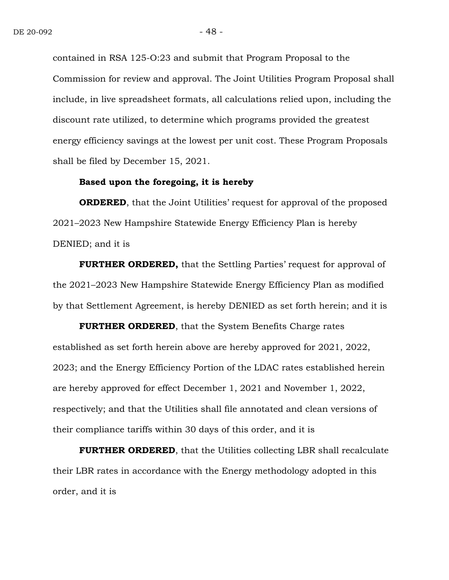contained in RSA 125-O:23 and submit that Program Proposal to the Commission for review and approval. The Joint Utilities Program Proposal shall include, in live spreadsheet formats, all calculations relied upon, including the discount rate utilized, to determine which programs provided the greatest energy efficiency savings at the lowest per unit cost. These Program Proposals shall be filed by December 15, 2021.

#### **Based upon the foregoing, it is hereby**

**ORDERED**, that the Joint Utilities' request for approval of the proposed 2021–2023 New Hampshire Statewide Energy Efficiency Plan is hereby DENIED; and it is

**FURTHER ORDERED,** that the Settling Parties' request for approval of the 2021–2023 New Hampshire Statewide Energy Efficiency Plan as modified by that Settlement Agreement, is hereby DENIED as set forth herein; and it is

**FURTHER ORDERED**, that the System Benefits Charge rates established as set forth herein above are hereby approved for 2021, 2022, 2023; and the Energy Efficiency Portion of the LDAC rates established herein are hereby approved for effect December 1, 2021 and November 1, 2022, respectively; and that the Utilities shall file annotated and clean versions of their compliance tariffs within 30 days of this order, and it is

**FURTHER ORDERED**, that the Utilities collecting LBR shall recalculate their LBR rates in accordance with the Energy methodology adopted in this order, and it is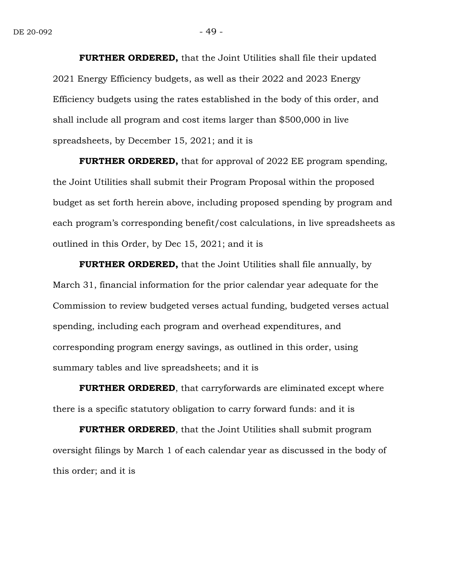**FURTHER ORDERED,** that the Joint Utilities shall file their updated 2021 Energy Efficiency budgets, as well as their 2022 and 2023 Energy Efficiency budgets using the rates established in the body of this order, and shall include all program and cost items larger than \$500,000 in live spreadsheets, by December 15, 2021; and it is

**FURTHER ORDERED,** that for approval of 2022 EE program spending, the Joint Utilities shall submit their Program Proposal within the proposed budget as set forth herein above, including proposed spending by program and each program's corresponding benefit/cost calculations, in live spreadsheets as outlined in this Order, by Dec 15, 2021; and it is

**FURTHER ORDERED,** that the Joint Utilities shall file annually, by March 31, financial information for the prior calendar year adequate for the Commission to review budgeted verses actual funding, budgeted verses actual spending, including each program and overhead expenditures, and corresponding program energy savings, as outlined in this order, using summary tables and live spreadsheets; and it is

**FURTHER ORDERED**, that carryforwards are eliminated except where there is a specific statutory obligation to carry forward funds: and it is

**FURTHER ORDERED**, that the Joint Utilities shall submit program oversight filings by March 1 of each calendar year as discussed in the body of this order; and it is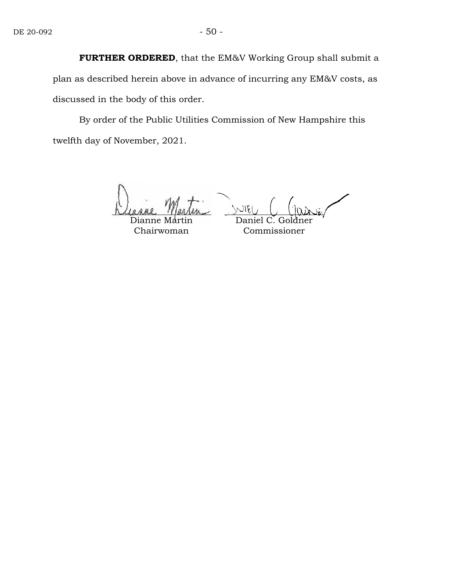**FURTHER ORDERED**, that the EM&V Working Group shall submit a plan as described herein above in advance of incurring any EM&V costs, as discussed in the body of this order.

By order of the Public Utilities Commission of New Hampshire this twelfth day of November, 2021.

Dianne Martin Chairwoman

Daniel C. Goldner Commissioner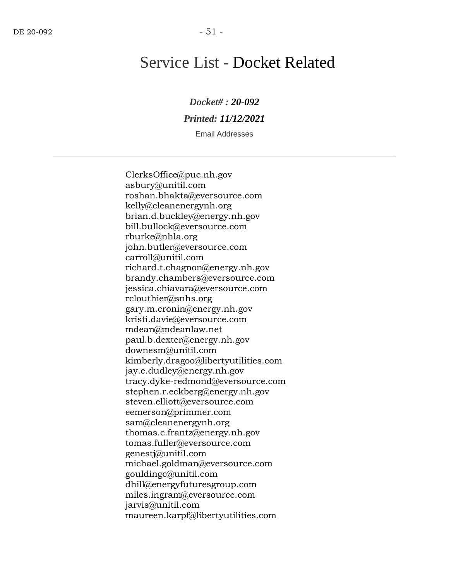# Service List - Docket Related

*Docket# : 20-092 Printed: 11/12/2021*

Email Addresses

ClerksOffice@puc.nh.gov asbury@unitil.com roshan.bhakta@eversource.com kelly@cleanenergynh.org brian.d.buckley@energy.nh.gov bill.bullock@eversource.com rburke@nhla.org john.butler@eversource.com carroll@unitil.com richard.t.chagnon@energy.nh.gov brandy.chambers@eversource.com jessica.chiavara@eversource.com rclouthier@snhs.org gary.m.cronin@energy.nh.gov kristi.davie@eversource.com mdean@mdeanlaw.net paul.b.dexter@energy.nh.gov downesm@unitil.com kimberly.dragoo@libertyutilities.com jay.e.dudley@energy.nh.gov tracy.dyke-redmond@eversource.com stephen.r.eckberg@energy.nh.gov steven.elliott@eversource.com eemerson@primmer.com sam@cleanenergynh.org thomas.c.frantz@energy.nh.gov tomas.fuller@eversource.com genestj@unitil.com michael.goldman@eversource.com gouldingc@unitil.com dhill@energyfuturesgroup.com miles.ingram@eversource.com jarvis@unitil.com maureen.karpf@libertyutilities.com